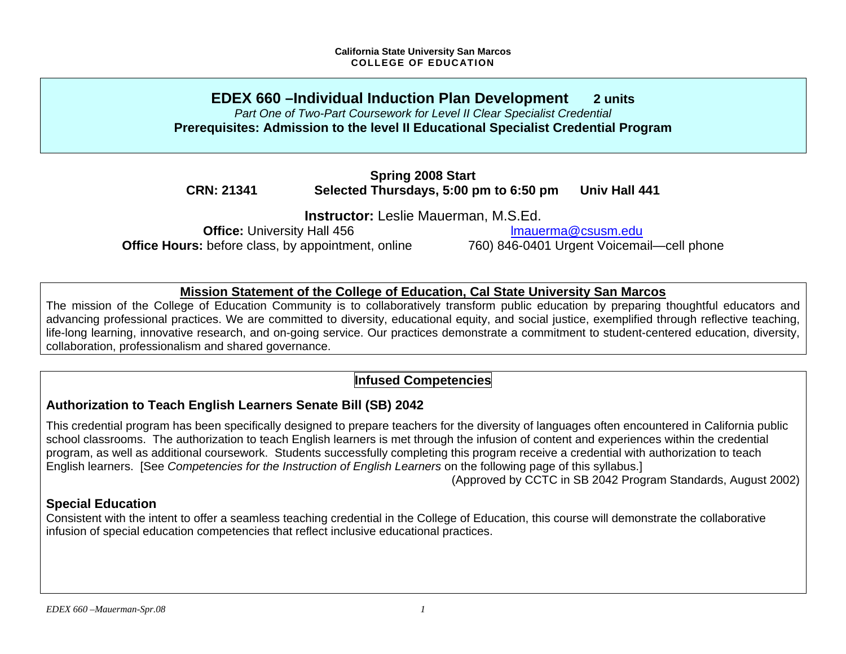## **EDEX 660 –Individual Induction Plan Development 2 units** *Part One of Two-Part Coursework for Level II Clear Specialist Credential*  **Prerequisites: Admission to the level II Educational Specialist Credential Program**

**Spring 2008 Start CRN: 21341 Selected Thursdays, 5:00 pm to 6:50 pm Univ Hall 441** 

**Instructor:** Leslie Mauerman, M.S.Ed.

**Office:** University Hall 456 **lmauerma@csusm.edu Office Hours:** before class, by appointment, online 760) 846-0401 Urgent Voicemail—cell phone

## **Mission Statement of the College of Education, Cal State University San Marcos**

The mission of the College of Education Community is to collaboratively transform public education by preparing thoughtful educators and advancing professional practices. We are committed to diversity, educational equity, and social justice, exemplified through reflective teaching, life-long learning, innovative research, and on-going service. Our practices demonstrate a commitment to student-centered education, diversity, collaboration, professionalism and shared governance.

# **Infused Competencies**

# **Authorization to Teach English Learners Senate Bill (SB) 2042**

This credential program has been specifically designed to prepare teachers for the diversity of languages often encountered in California public school classrooms. The authorization to teach English learners is met through the infusion of content and experiences within the credential program, as well as additional coursework. Students successfully completing this program receive a credential with authorization to teach English learners. [See *Competencies for the Instruction of English Learners* on the following page of this syllabus.]

(Approved by CCTC in SB 2042 Program Standards, August 2002)

## **Special Education**

Consistent with the intent to offer a seamless teaching credential in the College of Education, this course will demonstrate the collaborative infusion of special education competencies that reflect inclusive educational practices.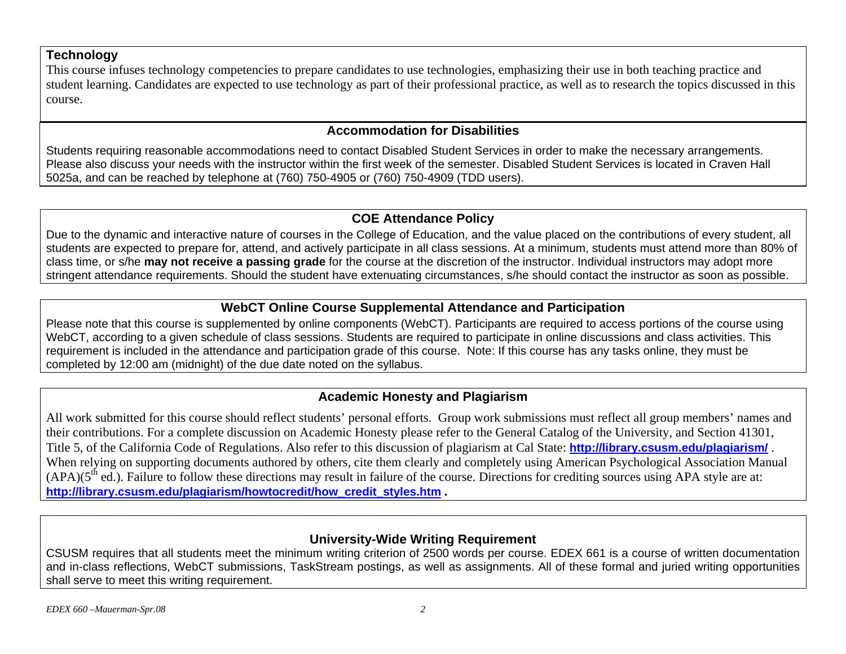## **Technology**

This course infuses technology competencies to prepare candidates to use technologies, emphasizing their use in both teaching practice and student learning. Candidates are expected to use technology as part of their professional practice, as well as to research the topics discussed in this course.

## **Accommodation for Disabilities**

Students requiring reasonable accommodations need to contact Disabled Student Services in order to make the necessary arrangements. Please also discuss your needs with the instructor within the first week of the semester. Disabled Student Services is located in Craven Hall 5025a, and can be reached by telephone at (760) 750-4905 or (760) 750-4909 (TDD users).

## **COE Attendance Policy**

Due to the dynamic and interactive nature of courses in the College of Education, and the value placed on the contributions of every student, all students are expected to prepare for, attend, and actively participate in all class sessions. At a minimum, students must attend more than 80% of class time, or s/he **may not receive a passing grade** for the course at the discretion of the instructor. Individual instructors may adopt more stringent attendance requirements. Should the student have extenuating circumstances, s/he should contact the instructor as soon as possible.

## **WebCT Online Course Supplemental Attendance and Participation**

Please note that this course is supplemented by online components (WebCT). Participants are required to access portions of the course using WebCT, according to a given schedule of class sessions. Students are required to participate in online discussions and class activities. This requirement is included in the attendance and participation grade of this course. Note: If this course has any tasks online, they must be completed by 12:00 am (midnight) of the due date noted on the syllabus.

# **Academic Honesty and Plagiarism**

All work submitted for this course should reflect students' personal efforts. Group work submissions must reflect all group members' names and their contributions. For a complete discussion on Academic Honesty please refer to the General Catalog of the University, and Section 41301, Title 5, of the California Code of Regulations. Also refer to this discussion of plagiarism at Cal State: **http://library.csusm.edu/plagiarism/** . When relying on supporting documents authored by others, cite them clearly and completely using American Psychological Association Manual  $(APA)(5<sup>th</sup> ed.)$ . Failure to follow these directions may result in failure of the course. Directions for crediting sources using APA style are at: **http://library.csusm.edu/plagiarism/howtocredit/how\_credit\_styles.htm .**

# **University-Wide Writing Requirement**

CSUSM requires that all students meet the minimum writing criterion of 2500 words per course. EDEX 661 is a course of written documentation and in-class reflections, WebCT submissions, TaskStream postings, as well as assignments. All of these formal and juried writing opportunities shall serve to meet this writing requirement.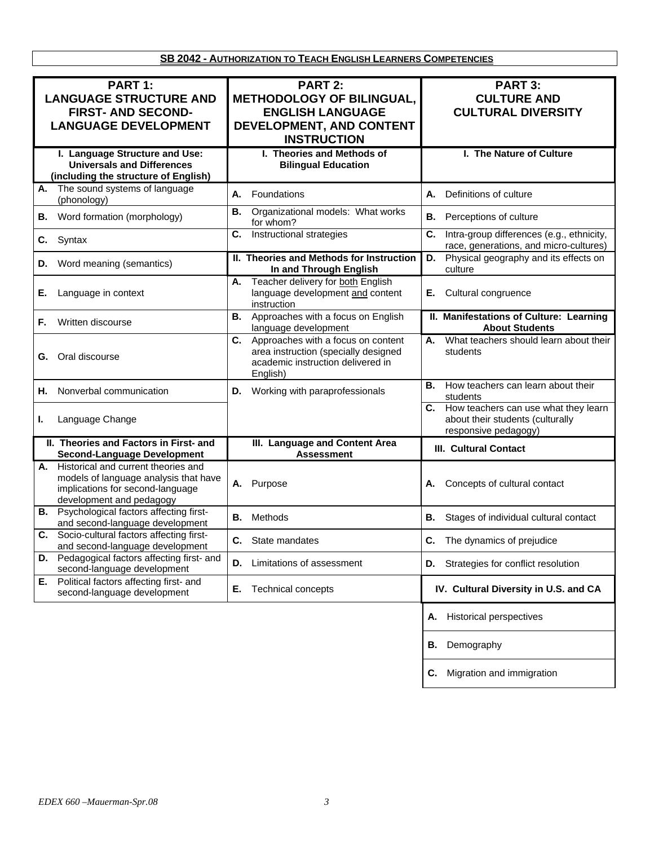**SB 2042 - AUTHORIZATION TO TEACH ENGLISH LEARNERS COMPETENCIES**

| PART 1:<br><b>LANGUAGE STRUCTURE AND</b><br><b>FIRST- AND SECOND-</b><br><b>LANGUAGE DEVELOPMENT</b>                                            | PART 2:<br><b>METHODOLOGY OF BILINGUAL,</b><br><b>ENGLISH LANGUAGE</b><br>DEVELOPMENT, AND CONTENT<br><b>INSTRUCTION</b>       | PART 3:<br><b>CULTURE AND</b><br><b>CULTURAL DIVERSITY</b>                                             |
|-------------------------------------------------------------------------------------------------------------------------------------------------|--------------------------------------------------------------------------------------------------------------------------------|--------------------------------------------------------------------------------------------------------|
| I. Language Structure and Use:<br><b>Universals and Differences</b><br>(including the structure of English)                                     | I. Theories and Methods of<br><b>Bilingual Education</b>                                                                       | I. The Nature of Culture                                                                               |
| The sound systems of language<br>А.<br>(phonology)                                                                                              | Foundations<br>А.                                                                                                              | Definitions of culture<br>А.                                                                           |
| Word formation (morphology)<br>В.                                                                                                               | Organizational models: What works<br>В.<br>for whom?                                                                           | Perceptions of culture<br>В.                                                                           |
| C.<br>Syntax                                                                                                                                    | Instructional strategies<br>C.                                                                                                 | Intra-group differences (e.g., ethnicity,<br>C.<br>race, generations, and micro-cultures)              |
| Word meaning (semantics)<br>D.                                                                                                                  | II. Theories and Methods for Instruction<br>In and Through English                                                             | Physical geography and its effects on<br>D.<br>culture                                                 |
| Е.<br>Language in context                                                                                                                       | Teacher delivery for both English<br>А.<br>language development and content<br>instruction                                     | Cultural congruence<br>Е.                                                                              |
| Written discourse<br>F.                                                                                                                         | Approaches with a focus on English<br>В.<br>language development                                                               | II. Manifestations of Culture: Learning<br><b>About Students</b>                                       |
| Oral discourse<br>G.                                                                                                                            | C. Approaches with a focus on content<br>area instruction (specially designed<br>academic instruction delivered in<br>English) | What teachers should learn about their<br>А.<br>students                                               |
| Nonverbal communication<br>Н.                                                                                                                   | D. Working with paraprofessionals                                                                                              | <b>B.</b> How teachers can learn about their<br>students                                               |
| Language Change<br>ı.                                                                                                                           |                                                                                                                                | How teachers can use what they learn<br>C.<br>about their students (culturally<br>responsive pedagogy) |
| II. Theories and Factors in First- and<br><b>Second-Language Development</b>                                                                    | III. Language and Content Area<br><b>Assessment</b>                                                                            | III. Cultural Contact                                                                                  |
| A. Historical and current theories and<br>models of language analysis that have<br>implications for second-language<br>development and pedagogy | Purpose<br>А.                                                                                                                  | Concepts of cultural contact<br>А.                                                                     |
| Psychological factors affecting first-<br>В.<br>and second-language development                                                                 | Methods<br>В.                                                                                                                  | В.<br>Stages of individual cultural contact                                                            |
| Socio-cultural factors affecting first-<br>C.<br>and second-language development                                                                | C. State mandates                                                                                                              | <b>C.</b> The dynamics of prejudice                                                                    |
| Pedagogical factors affecting first- and<br>D.<br>second-language development                                                                   | Limitations of assessment<br>D.                                                                                                | D. Strategies for conflict resolution                                                                  |
| Political factors affecting first- and<br>Е.<br>second-language development                                                                     | Е.<br>Technical concepts                                                                                                       | IV. Cultural Diversity in U.S. and CA                                                                  |
|                                                                                                                                                 |                                                                                                                                | <b>Historical perspectives</b><br>Α.                                                                   |
|                                                                                                                                                 |                                                                                                                                | Demography<br>В.                                                                                       |
|                                                                                                                                                 |                                                                                                                                | Migration and immigration<br>С.                                                                        |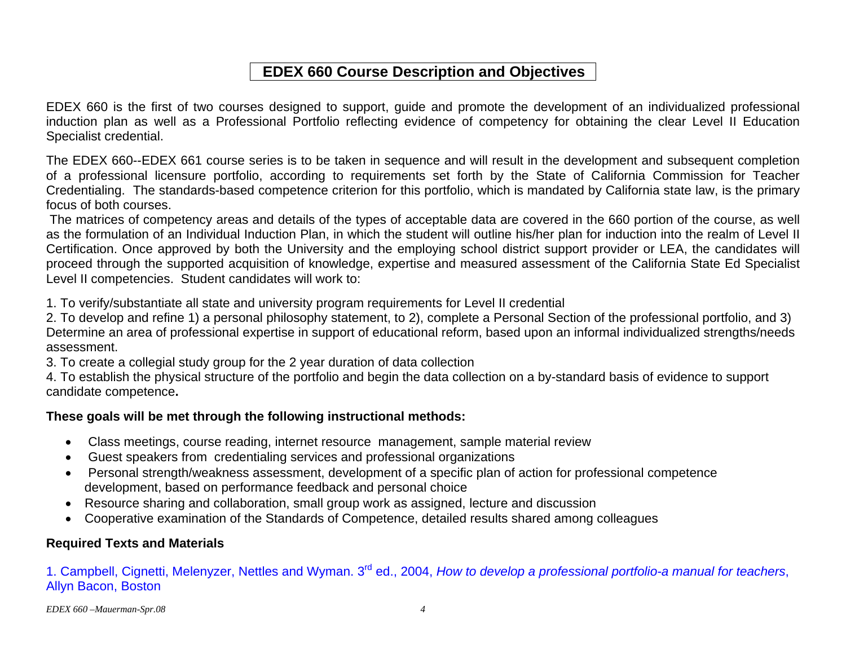# **EDEX 660 Course Description and Objectives**

EDEX 660 is the first of two courses designed to support, guide and promote the development of an individualized professional induction plan as well as a Professional Portfolio reflecting evidence of competency for obtaining the clear Level II Education Specialist credential.

The EDEX 660--EDEX 661 course series is to be taken in sequence and will result in the development and subsequent completion of a professional licensure portfolio, according to requirements set forth by the State of California Commission for Teacher Credentialing. The standards-based competence criterion for this portfolio, which is mandated by California state law, is the primary focus of both courses.

 The matrices of competency areas and details of the types of acceptable data are covered in the 660 portion of the course, as well as the formulation of an Individual Induction Plan, in which the student will outline his/her plan for induction into the realm of Level II Certification. Once approved by both the University and the employing school district support provider or LEA, the candidates will proceed through the supported acquisition of knowledge, expertise and measured assessment of the California State Ed Specialist Level II competencies. Student candidates will work to:

1. To verify/substantiate all state and university program requirements for Level II credential

2. To develop and refine 1) a personal philosophy statement, to 2), complete a Personal Section of the professional portfolio, and 3) Determine an area of professional expertise in support of educational reform, based upon an informal individualized strengths/needs assessment.

3. To create a collegial study group for the 2 year duration of data collection

4. To establish the physical structure of the portfolio and begin the data collection on a by-standard basis of evidence to support candidate competence**.** 

## **These goals will be met through the following instructional methods:**

- Class meetings, course reading, internet resource management, sample material review
- Guest speakers from credentialing services and professional organizations
- Personal strength/weakness assessment, development of a specific plan of action for professional competence development, based on performance feedback and personal choice
- Resource sharing and collaboration, small group work as assigned, lecture and discussion
- Cooperative examination of the Standards of Competence, detailed results shared among colleagues

## **Required Texts and Materials**

1. Campbell, Cignetti, Melenyzer, Nettles and Wyman. 3rd ed., 2004, *How to develop a professional portfolio-a manual for teachers*, Allyn Bacon, Boston

*EDEX 660 –Mauerman-Spr.08 4*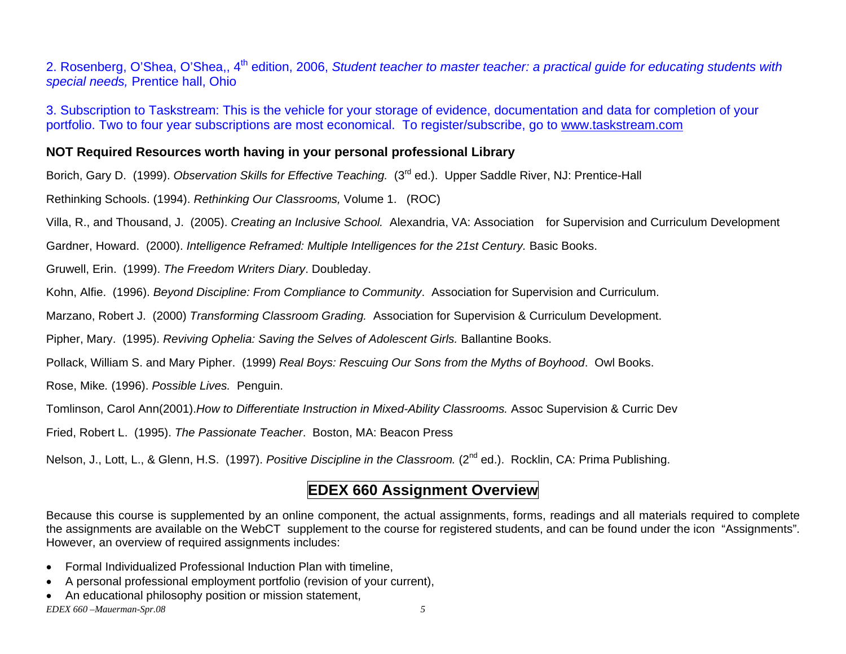2. Rosenberg, O'Shea, O'Shea,, 4<sup>th</sup> edition, 2006, *Student teacher to master teacher: a practical quide for educating students with special needs,* Prentice hall, Ohio

3. Subscription to Taskstream: This is the vehicle for your storage of evidence, documentation and data for completion of your portfolio. Two to four year subscriptions are most economical. To register/subscribe, go to www.taskstream.com

## **NOT Required Resources worth having in your personal professional Library**

Borich, Gary D. (1999). *Observation Skills for Effective Teaching.* (3rd ed.). Upper Saddle River, NJ: Prentice-Hall

Rethinking Schools. (1994). *Rethinking Our Classrooms,* Volume 1. (ROC)

Villa, R., and Thousand, J. (2005). *Creating an Inclusive School.* Alexandria, VA: Association for Supervision and Curriculum Development

Gardner, Howard. (2000). *Intelligence Reframed: Multiple Intelligences for the 21st Century.* Basic Books.

Gruwell, Erin. (1999). *The Freedom Writers Diary*. Doubleday.

Kohn, Alfie. (1996). *Beyond Discipline: From Compliance to Community*. Association for Supervision and Curriculum.

Marzano, Robert J. (2000) *Transforming Classroom Grading.* Association for Supervision & Curriculum Development.

Pipher, Mary. (1995). *Reviving Ophelia: Saving the Selves of Adolescent Girls.* Ballantine Books.

Pollack, William S. and Mary Pipher. (1999) *Real Boys: Rescuing Our Sons from the Myths of Boyhood*. Owl Books.

Rose, Mike*.* (1996). *Possible Lives.* Penguin.

Tomlinson, Carol Ann(2001).*How to Differentiate Instruction in Mixed-Ability Classrooms.* Assoc Supervision & Curric Dev

Fried, Robert L. (1995). *The Passionate Teacher*. Boston, MA: Beacon Press

Nelson, J., Lott, L., & Glenn, H.S. (1997). *Positive Discipline in the Classroom.* (2<sup>nd</sup> ed.). Rocklin, CA: Prima Publishing.

# **EDEX 660 Assignment Overview**

Because this course is supplemented by an online component, the actual assignments, forms, readings and all materials required to complete the assignments are available on the WebCT supplement to the course for registered students, and can be found under the icon "Assignments". However, an overview of required assignments includes:

- Formal Individualized Professional Induction Plan with timeline,
- A personal professional employment portfolio (revision of your current),
- An educational philosophy position or mission statement,

*EDEX 660 –Mauerman-Spr.08 5*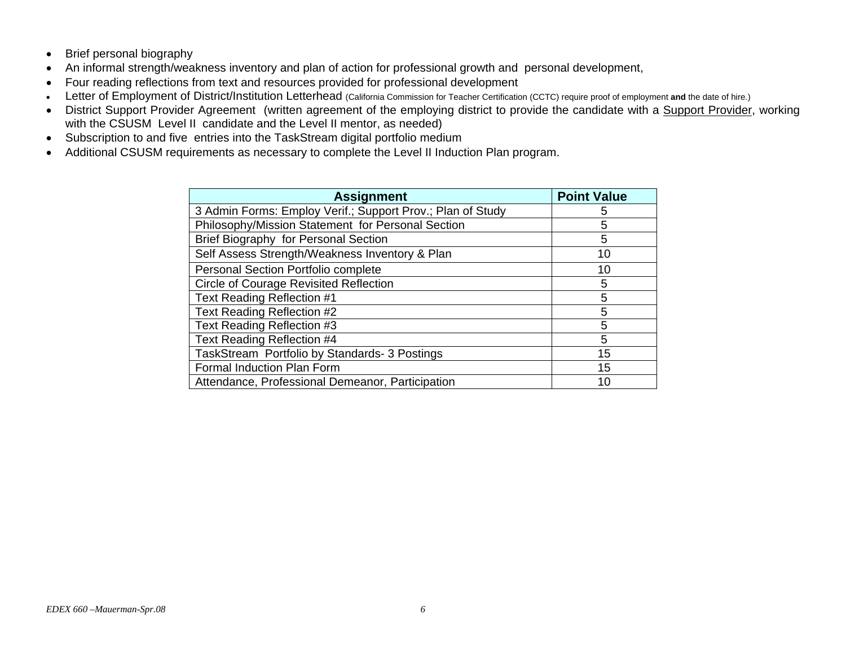- Brief personal biography
- An informal strength/weakness inventory and plan of action for professional growth and personal development,
- Four reading reflections from text and resources provided for professional development
- •Letter of Employment of District/Institution Letterhead (California Commission for Teacher Certification (CCTC) require proof of employment **and** the date of hire.)
- District Support Provider Agreement (written agreement of the employing district to provide the candidate with a Support Provider, working with the CSUSM Level II candidate and the Level II mentor, as needed)
- Subscription to and five entries into the TaskStream digital portfolio medium
- Additional CSUSM requirements as necessary to complete the Level II Induction Plan program.

| <b>Assignment</b>                                          | <b>Point Value</b> |
|------------------------------------------------------------|--------------------|
| 3 Admin Forms: Employ Verif.; Support Prov.; Plan of Study | 5                  |
| Philosophy/Mission Statement for Personal Section          | 5                  |
| Brief Biography for Personal Section                       | 5                  |
| Self Assess Strength/Weakness Inventory & Plan             | 10                 |
| <b>Personal Section Portfolio complete</b>                 | 10                 |
| <b>Circle of Courage Revisited Reflection</b>              | 5                  |
| Text Reading Reflection #1                                 | 5                  |
| Text Reading Reflection #2                                 | 5                  |
| Text Reading Reflection #3                                 | 5                  |
| Text Reading Reflection #4                                 | 5                  |
| TaskStream Portfolio by Standards- 3 Postings              | 15                 |
| Formal Induction Plan Form                                 | 15                 |
| Attendance, Professional Demeanor, Participation           | 10                 |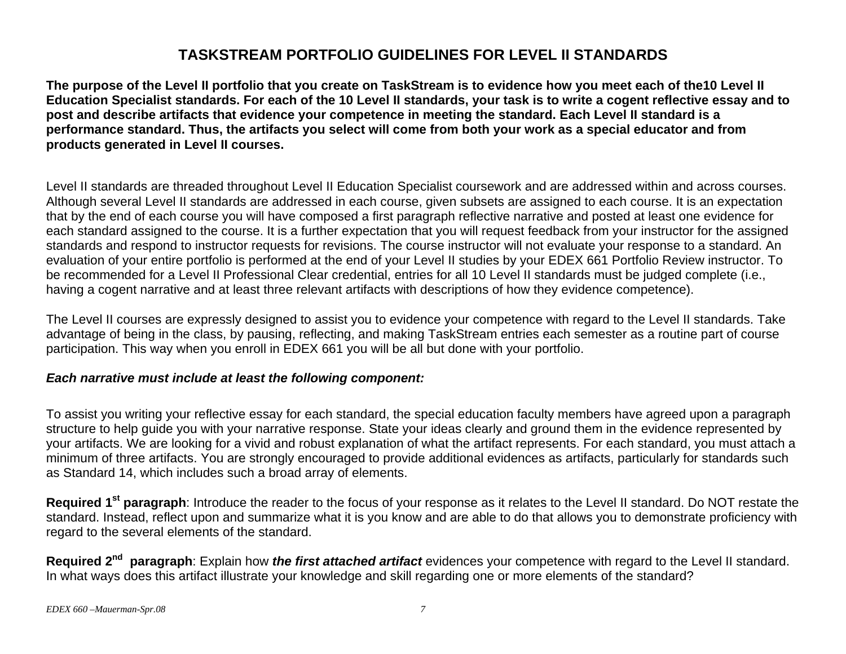# **TASKSTREAM PORTFOLIO GUIDELINES FOR LEVEL II STANDARDS**

**The purpose of the Level II portfolio that you create on TaskStream is to evidence how you meet each of the10 Level II Education Specialist standards. For each of the 10 Level II standards, your task is to write a cogent reflective essay and to post and describe artifacts that evidence your competence in meeting the standard. Each Level II standard is a performance standard. Thus, the artifacts you select will come from both your work as a special educator and from products generated in Level II courses.** 

Level II standards are threaded throughout Level II Education Specialist coursework and are addressed within and across courses. Although several Level II standards are addressed in each course, given subsets are assigned to each course. It is an expectation that by the end of each course you will have composed a first paragraph reflective narrative and posted at least one evidence for each standard assigned to the course. It is a further expectation that you will request feedback from your instructor for the assigned standards and respond to instructor requests for revisions. The course instructor will not evaluate your response to a standard. An evaluation of your entire portfolio is performed at the end of your Level II studies by your EDEX 661 Portfolio Review instructor. To be recommended for a Level II Professional Clear credential, entries for all 10 Level II standards must be judged complete (i.e., having a cogent narrative and at least three relevant artifacts with descriptions of how they evidence competence).

The Level II courses are expressly designed to assist you to evidence your competence with regard to the Level II standards. Take advantage of being in the class, by pausing, reflecting, and making TaskStream entries each semester as a routine part of course participation. This way when you enroll in EDEX 661 you will be all but done with your portfolio.

## *Each narrative must include at least the following component:*

To assist you writing your reflective essay for each standard, the special education faculty members have agreed upon a paragraph structure to help guide you with your narrative response. State your ideas clearly and ground them in the evidence represented by your artifacts. We are looking for a vivid and robust explanation of what the artifact represents. For each standard, you must attach a minimum of three artifacts. You are strongly encouraged to provide additional evidences as artifacts, particularly for standards such as Standard 14, which includes such a broad array of elements.

**Required 1st paragraph**: Introduce the reader to the focus of your response as it relates to the Level II standard. Do NOT restate the standard. Instead, reflect upon and summarize what it is you know and are able to do that allows you to demonstrate proficiency with regard to the several elements of the standard.

**Required 2nd paragraph**: Explain how *the first attached artifact* evidences your competence with regard to the Level II standard. In what ways does this artifact illustrate your knowledge and skill regarding one or more elements of the standard?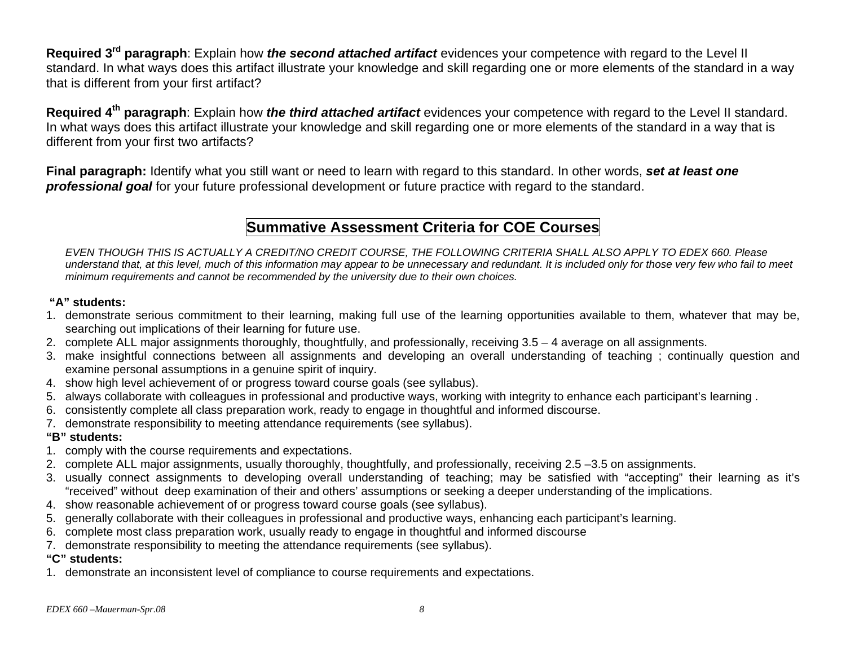**Required 3rd paragraph**: Explain how *the second attached artifact* evidences your competence with regard to the Level II standard. In what ways does this artifact illustrate your knowledge and skill regarding one or more elements of the standard in a way that is different from your first artifact?

**Required 4th paragraph**: Explain how *the third attached artifact* evidences your competence with regard to the Level II standard. In what ways does this artifact illustrate your knowledge and skill regarding one or more elements of the standard in a way that is different from your first two artifacts?

**Final paragraph:** Identify what you still want or need to learn with regard to this standard. In other words, *set at least one professional goal* for your future professional development or future practice with regard to the standard.

# **Summative Assessment Criteria for COE Courses**

*EVEN THOUGH THIS IS ACTUALLY A CREDIT/NO CREDIT COURSE, THE FOLLOWING CRITERIA SHALL ALSO APPLY TO EDEX 660. Please understand that, at this level, much of this information may appear to be unnecessary and redundant. It is included only for those very few who fail to meet minimum requirements and cannot be recommended by the university due to their own choices.* 

## **"A" students:**

- 1. demonstrate serious commitment to their learning, making full use of the learning opportunities available to them, whatever that may be, searching out implications of their learning for future use.
- 2. complete ALL major assignments thoroughly, thoughtfully, and professionally, receiving 3.5 4 average on all assignments.
- 3. make insightful connections between all assignments and developing an overall understanding of teaching ; continually question and examine personal assumptions in a genuine spirit of inquiry.
- 4. show high level achievement of or progress toward course goals (see syllabus).
- 5. always collaborate with colleagues in professional and productive ways, working with integrity to enhance each participant's learning .
- 6. consistently complete all class preparation work, ready to engage in thoughtful and informed discourse.
- 7. demonstrate responsibility to meeting attendance requirements (see syllabus).

## **"B" students:**

- 1. comply with the course requirements and expectations.
- 2. complete ALL major assignments, usually thoroughly, thoughtfully, and professionally, receiving 2.5 –3.5 on assignments.
- 3. usually connect assignments to developing overall understanding of teaching; may be satisfied with "accepting" their learning as it's "received" without deep examination of their and others' assumptions or seeking a deeper understanding of the implications.
- 4. show reasonable achievement of or progress toward course goals (see syllabus).
- 5. generally collaborate with their colleagues in professional and productive ways, enhancing each participant's learning.
- 6. complete most class preparation work, usually ready to engage in thoughtful and informed discourse
- 7. demonstrate responsibility to meeting the attendance requirements (see syllabus).

## **"C" students:**

1. demonstrate an inconsistent level of compliance to course requirements and expectations.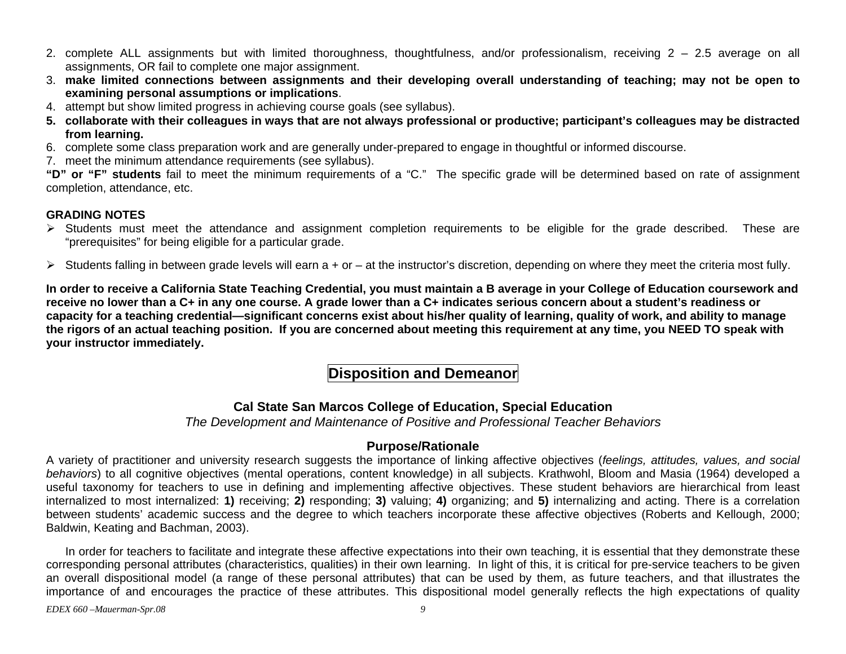- 2. complete ALL assignments but with limited thoroughness, thoughtfulness, and/or professionalism, receiving 2 2.5 average on all assignments, OR fail to complete one major assignment.
- 3. **make limited connections between assignments and their developing overall understanding of teaching; may not be open to examining personal assumptions or implications**.
- 4. attempt but show limited progress in achieving course goals (see syllabus).
- **5. collaborate with their colleagues in ways that are not always professional or productive; participant's colleagues may be distracted from learning.**
- 6. complete some class preparation work and are generally under-prepared to engage in thoughtful or informed discourse.
- 7. meet the minimum attendance requirements (see syllabus).

**"D" or "F" students** fail to meet the minimum requirements of a "C." The specific grade will be determined based on rate of assignment completion, attendance, etc.

## **GRADING NOTES**

- ¾ Students must meet the attendance and assignment completion requirements to be eligible for the grade described. These are "prerequisites" for being eligible for a particular grade.
- $\triangleright$  Students falling in between grade levels will earn a + or at the instructor's discretion, depending on where they meet the criteria most fully.

**In order to receive a California State Teaching Credential, you must maintain a B average in your College of Education coursework and receive no lower than a C+ in any one course. A grade lower than a C+ indicates serious concern about a student's readiness or capacity for a teaching credential—significant concerns exist about his/her quality of learning, quality of work, and ability to manage the rigors of an actual teaching position. If you are concerned about meeting this requirement at any time, you NEED TO speak with your instructor immediately.** 

# **Disposition and Demeanor**

## **Cal State San Marcos College of Education, Special Education**

*The Development and Maintenance of Positive and Professional Teacher Behaviors* 

## **Purpose/Rationale**

A variety of practitioner and university research suggests the importance of linking affective objectives (*feelings, attitudes, values, and social behaviors*) to all cognitive objectives (mental operations, content knowledge) in all subjects. Krathwohl, Bloom and Masia (1964) developed a useful taxonomy for teachers to use in defining and implementing affective objectives. These student behaviors are hierarchical from least internalized to most internalized: **1)** receiving; **2)** responding; **3)** valuing; **4)** organizing; and **5)** internalizing and acting. There is a correlation between students' academic success and the degree to which teachers incorporate these affective objectives (Roberts and Kellough, 2000; Baldwin, Keating and Bachman, 2003).

In order for teachers to facilitate and integrate these affective expectations into their own teaching, it is essential that they demonstrate these corresponding personal attributes (characteristics, qualities) in their own learning. In light of this, it is critical for pre-service teachers to be given an overall dispositional model (a range of these personal attributes) that can be used by them, as future teachers, and that illustrates the importance of and encourages the practice of these attributes. This dispositional model generally reflects the high expectations of quality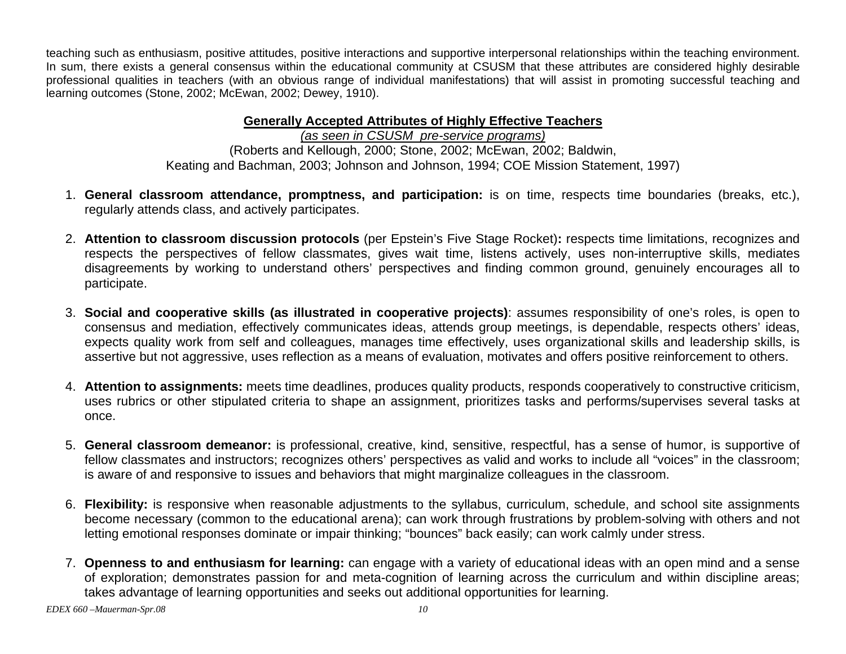teaching such as enthusiasm, positive attitudes, positive interactions and supportive interpersonal relationships within the teaching environment. In sum, there exists a general consensus within the educational community at CSUSM that these attributes are considered highly desirable professional qualities in teachers (with an obvious range of individual manifestations) that will assist in promoting successful teaching and learning outcomes (Stone, 2002; McEwan, 2002; Dewey, 1910).

## **Generally Accepted Attributes of Highly Effective Teachers**

*(as seen in CSUSM pre-service programs)* (Roberts and Kellough, 2000; Stone, 2002; McEwan, 2002; Baldwin, Keating and Bachman, 2003; Johnson and Johnson, 1994; COE Mission Statement, 1997)

- 1. **General classroom attendance, promptness, and participation:** is on time, respects time boundaries (breaks, etc.), regularly attends class, and actively participates.
- 2. **Attention to classroom discussion protocols** (per Epstein's Five Stage Rocket)**:** respects time limitations, recognizes and respects the perspectives of fellow classmates, gives wait time, listens actively, uses non-interruptive skills, mediates disagreements by working to understand others' perspectives and finding common ground, genuinely encourages all to participate.
- 3. **Social and cooperative skills (as illustrated in cooperative projects)**: assumes responsibility of one's roles, is open to consensus and mediation, effectively communicates ideas, attends group meetings, is dependable, respects others' ideas, expects quality work from self and colleagues, manages time effectively, uses organizational skills and leadership skills, is assertive but not aggressive, uses reflection as a means of evaluation, motivates and offers positive reinforcement to others.
- 4. **Attention to assignments:** meets time deadlines, produces quality products, responds cooperatively to constructive criticism, uses rubrics or other stipulated criteria to shape an assignment, prioritizes tasks and performs/supervises several tasks at once.
- 5. **General classroom demeanor:** is professional, creative, kind, sensitive, respectful, has a sense of humor, is supportive of fellow classmates and instructors; recognizes others' perspectives as valid and works to include all "voices" in the classroom; is aware of and responsive to issues and behaviors that might marginalize colleagues in the classroom.
- 6. **Flexibility:** is responsive when reasonable adjustments to the syllabus, curriculum, schedule, and school site assignments become necessary (common to the educational arena); can work through frustrations by problem-solving with others and not letting emotional responses dominate or impair thinking; "bounces" back easily; can work calmly under stress.
- 7. **Openness to and enthusiasm for learning:** can engage with a variety of educational ideas with an open mind and a sense of exploration; demonstrates passion for and meta-cognition of learning across the curriculum and within discipline areas; takes advantage of learning opportunities and seeks out additional opportunities for learning.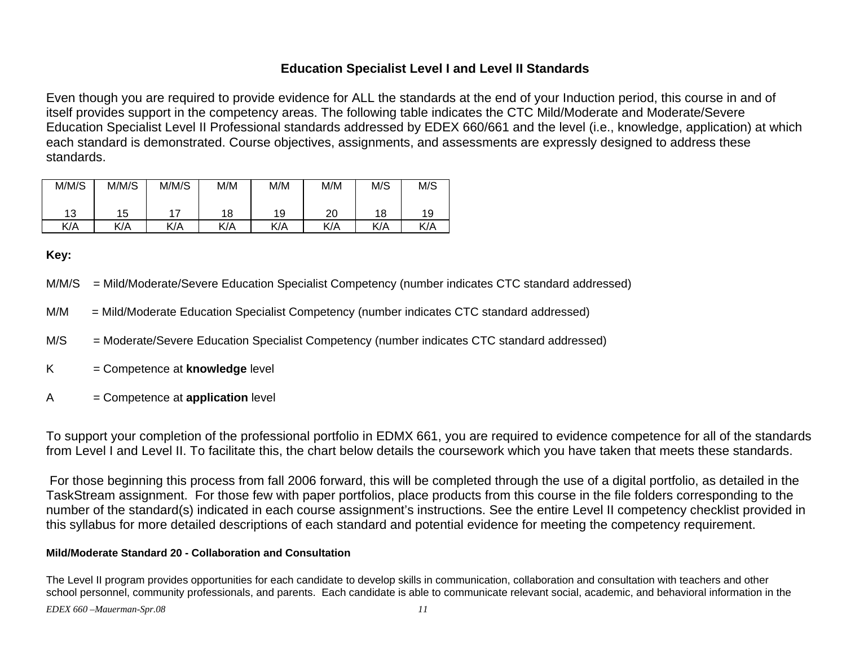## **Education Specialist Level I and Level II Standards**

Even though you are required to provide evidence for ALL the standards at the end of your Induction period, this course in and of itself provides support in the competency areas. The following table indicates the CTC Mild/Moderate and Moderate/Severe Education Specialist Level II Professional standards addressed by EDEX 660/661 and the level (i.e., knowledge, application) at which each standard is demonstrated. Course objectives, assignments, and assessments are expressly designed to address these standards.

| M/M/S | M/M/S | M/M/S | M/M | M/M | M/M | M/S | M/S |
|-------|-------|-------|-----|-----|-----|-----|-----|
| 13    | 15    | 17    | 18  | 19  | 20  | 18  | 19  |
| K/A   | K/A   | K/A   | K/A | K/A | K/A | K/A | K/A |

**Key:**

- M/M/S = Mild/Moderate/Severe Education Specialist Competency (number indicates CTC standard addressed)
- M/M = Mild/Moderate Education Specialist Competency (number indicates CTC standard addressed)
- M/S = Moderate/Severe Education Specialist Competency (number indicates CTC standard addressed)
- K = Competence at **knowledge** level
- A = Competence at **application** level

To support your completion of the professional portfolio in EDMX 661, you are required to evidence competence for all of the standards from Level I and Level II. To facilitate this, the chart below details the coursework which you have taken that meets these standards.

 For those beginning this process from fall 2006 forward, this will be completed through the use of a digital portfolio, as detailed in the TaskStream assignment. For those few with paper portfolios, place products from this course in the file folders corresponding to the number of the standard(s) indicated in each course assignment's instructions. See the entire Level II competency checklist provided in this syllabus for more detailed descriptions of each standard and potential evidence for meeting the competency requirement.

### **Mild/Moderate Standard 20 - Collaboration and Consultation**

The Level II program provides opportunities for each candidate to develop skills in communication, collaboration and consultation with teachers and other school personnel, community professionals, and parents. Each candidate is able to communicate relevant social, academic, and behavioral information in the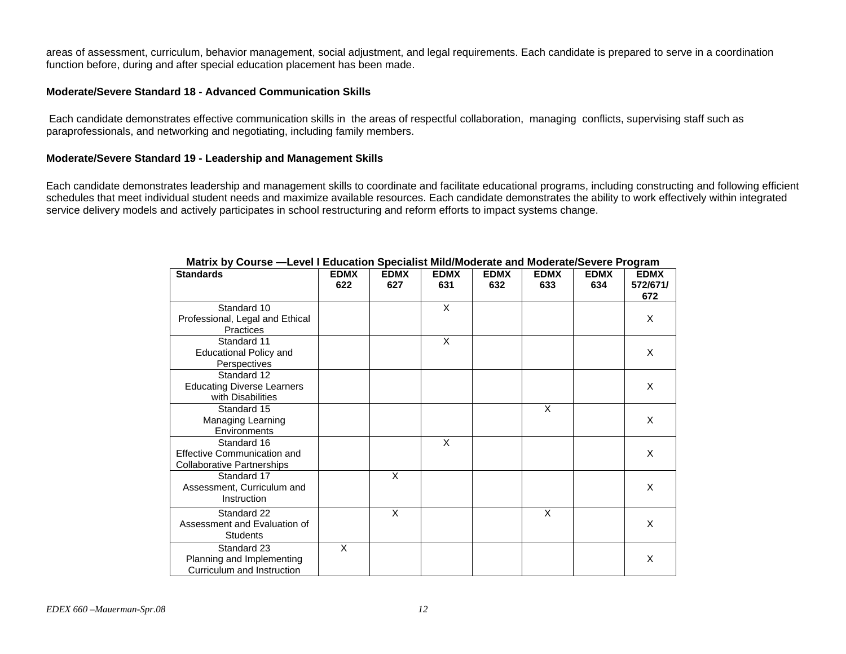areas of assessment, curriculum, behavior management, social adjustment, and legal requirements. Each candidate is prepared to serve in a coordination function before, during and after special education placement has been made.

#### **Moderate/Severe Standard 18 - Advanced Communication Skills**

 Each candidate demonstrates effective communication skills in the areas of respectful collaboration, managing conflicts, supervising staff such as paraprofessionals, and networking and negotiating, including family members.

#### **Moderate/Severe Standard 19 - Leadership and Management Skills**

Each candidate demonstrates leadership and management skills to coordinate and facilitate educational programs, including constructing and following efficient schedules that meet individual student needs and maximize available resources. Each candidate demonstrates the ability to work effectively within integrated service delivery models and actively participates in school restructuring and reform efforts to impact systems change.

| <b>Standards</b>                                                                | <b>EDMX</b><br>622 | <b>EDMX</b><br>627 | <b>EDMX</b><br>631 | <b>EDMX</b><br>632 | <b>EDMX</b><br>633 | <b>EDMX</b><br>634 | <b>EDMX</b><br>572/671/<br>672 |
|---------------------------------------------------------------------------------|--------------------|--------------------|--------------------|--------------------|--------------------|--------------------|--------------------------------|
| Standard 10<br>Professional, Legal and Ethical<br>Practices                     |                    |                    | X                  |                    |                    |                    | X                              |
| Standard 11<br><b>Educational Policy and</b><br>Perspectives                    |                    |                    | X                  |                    |                    |                    | X                              |
| Standard 12<br><b>Educating Diverse Learners</b><br>with Disabilities           |                    |                    |                    |                    |                    |                    | X                              |
| Standard 15<br>Managing Learning<br>Environments                                |                    |                    |                    |                    | X                  |                    | X                              |
| Standard 16<br>Effective Communication and<br><b>Collaborative Partnerships</b> |                    |                    | X                  |                    |                    |                    | X                              |
| Standard 17<br>Assessment, Curriculum and<br>Instruction                        |                    | X                  |                    |                    |                    |                    | X                              |
| Standard 22<br>Assessment and Evaluation of<br><b>Students</b>                  |                    | X                  |                    |                    | X                  |                    | X                              |
| Standard 23<br>Planning and Implementing<br>Curriculum and Instruction          | X                  |                    |                    |                    |                    |                    | X                              |

#### **Matrix by Course —Level I Education Specialist Mild/Moderate and Moderate/Severe Program**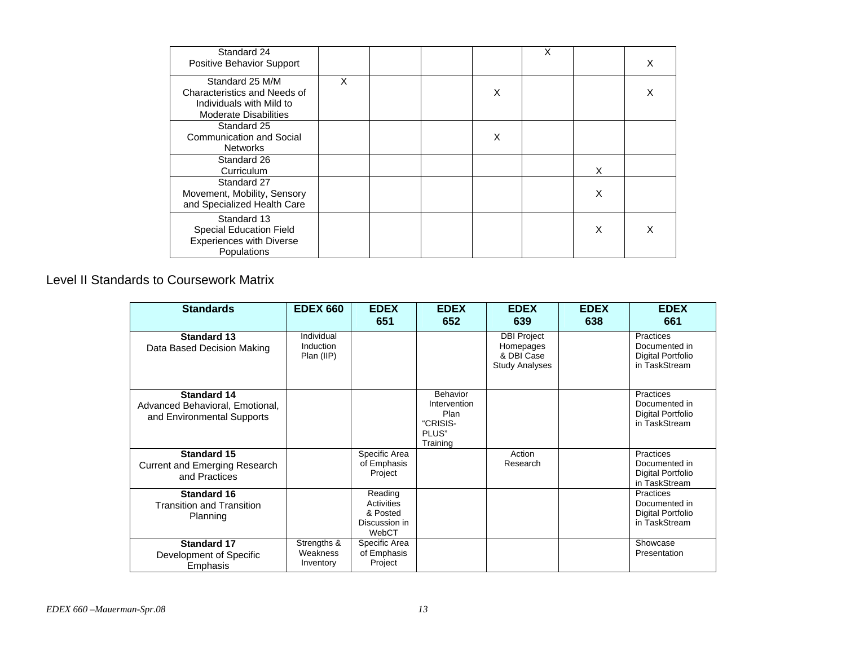| Standard 24<br>Positive Behavior Support                                                                    |   |  |   | X |   | X |
|-------------------------------------------------------------------------------------------------------------|---|--|---|---|---|---|
| Standard 25 M/M<br>Characteristics and Needs of<br>Individuals with Mild to<br><b>Moderate Disabilities</b> | X |  | X |   |   |   |
| Standard 25<br>Communication and Social<br><b>Networks</b>                                                  |   |  | X |   |   |   |
| Standard 26<br>Curriculum                                                                                   |   |  |   |   | X |   |
| Standard 27<br>Movement, Mobility, Sensory<br>and Specialized Health Care                                   |   |  |   |   | X |   |
| Standard 13<br><b>Special Education Field</b><br><b>Experiences with Diverse</b><br>Populations             |   |  |   |   | X |   |

### Level II Standards to Coursework Matrix

| <b>Standards</b>                                                                    | <b>EDEX 660</b>                       | <b>EDEX</b><br>651                                          | <b>EDEX</b><br>652                                                       | <b>EDEX</b><br>639                                                     | <b>EDEX</b><br>638 | <b>EDEX</b><br>661                                               |
|-------------------------------------------------------------------------------------|---------------------------------------|-------------------------------------------------------------|--------------------------------------------------------------------------|------------------------------------------------------------------------|--------------------|------------------------------------------------------------------|
| <b>Standard 13</b><br>Data Based Decision Making                                    | Individual<br>Induction<br>Plan (IIP) |                                                             |                                                                          | <b>DBI Project</b><br>Homepages<br>& DBI Case<br><b>Study Analyses</b> |                    | Practices<br>Documented in<br>Digital Portfolio<br>in TaskStream |
| <b>Standard 14</b><br>Advanced Behavioral, Emotional,<br>and Environmental Supports |                                       |                                                             | <b>Behavior</b><br>Intervention<br>Plan<br>"CRISIS-<br>PLUS"<br>Training |                                                                        |                    | Practices<br>Documented in<br>Digital Portfolio<br>in TaskStream |
| <b>Standard 15</b><br><b>Current and Emerging Research</b><br>and Practices         |                                       | Specific Area<br>of Emphasis<br>Project                     |                                                                          | Action<br>Research                                                     |                    | Practices<br>Documented in<br>Digital Portfolio<br>in TaskStream |
| <b>Standard 16</b><br><b>Transition and Transition</b><br>Planning                  |                                       | Reading<br>Activities<br>& Posted<br>Discussion in<br>WebCT |                                                                          |                                                                        |                    | Practices<br>Documented in<br>Digital Portfolio<br>in TaskStream |
| <b>Standard 17</b><br>Development of Specific<br>Emphasis                           | Strengths &<br>Weakness<br>Inventory  | Specific Area<br>of Emphasis<br>Project                     |                                                                          |                                                                        |                    | Showcase<br>Presentation                                         |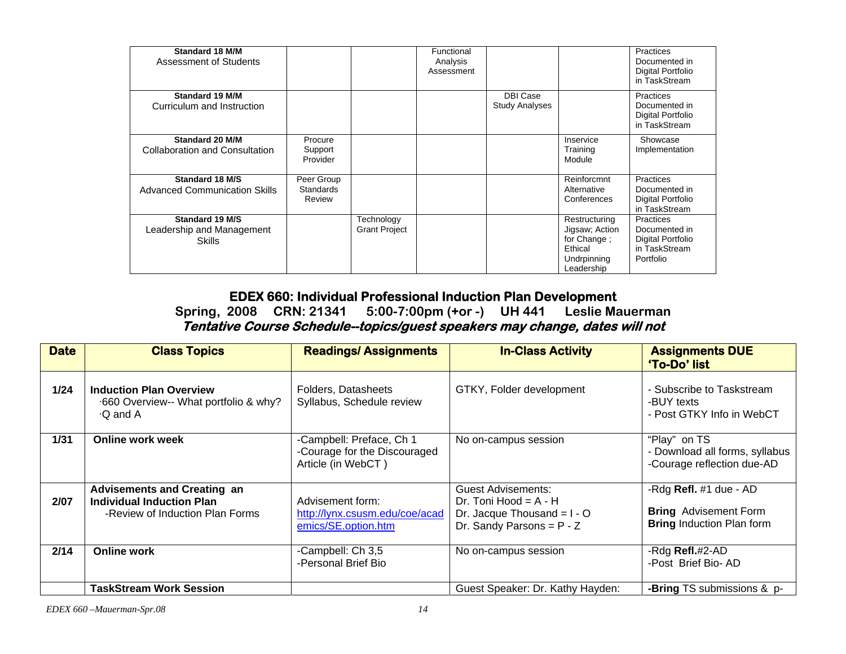| <b>Standard 18 M/M</b><br>Assessment of Students         |                                          |                                    | Functional<br>Analysis<br>Assessment |                                          |                                                                                        | <b>Practices</b><br>Documented in<br>Digital Portfolio<br>in TaskStream       |
|----------------------------------------------------------|------------------------------------------|------------------------------------|--------------------------------------|------------------------------------------|----------------------------------------------------------------------------------------|-------------------------------------------------------------------------------|
| Standard 19 M/M<br>Curriculum and Instruction            |                                          |                                    |                                      | <b>DBI Case</b><br><b>Study Analyses</b> |                                                                                        | Practices<br>Documented in<br>Digital Portfolio<br>in TaskStream              |
| Standard 20 M/M<br><b>Collaboration and Consultation</b> | Procure<br>Support<br>Provider           |                                    |                                      |                                          | Inservice<br>Training<br>Module                                                        | Showcase<br>Implementation                                                    |
| Standard 18 M/S<br><b>Advanced Communication Skills</b>  | Peer Group<br><b>Standards</b><br>Review |                                    |                                      |                                          | Reinforcmnt<br>Alternative<br>Conferences                                              | <b>Practices</b><br>Documented in<br>Digital Portfolio<br>in TaskStream       |
| Standard 19 M/S<br>Leadership and Management<br>Skills   |                                          | Technology<br><b>Grant Project</b> |                                      |                                          | Restructuring<br>Jigsaw; Action<br>for Change;<br>Ethical<br>Undrpinning<br>Leadership | Practices<br>Documented in<br>Digital Portfolio<br>in TaskStream<br>Portfolio |

## **EDEX 660: Individual Professional Induction Plan Development**

**Spring, 2008 CRN: 21341 5:00-7:00pm (+or -) UH 441 Leslie Mauerman Tentative Course Schedule--topics/guest speakers may change, dates will not** 

| <b>Date</b> | <b>Class Topics</b>                                                                                | <b>Readings/Assignments</b>                                                    | <b>In-Class Activity</b>                                                                                             | <b>Assignments DUE</b><br>'To-Do' list                                                     |
|-------------|----------------------------------------------------------------------------------------------------|--------------------------------------------------------------------------------|----------------------------------------------------------------------------------------------------------------------|--------------------------------------------------------------------------------------------|
| 1/24        | <b>Induction Plan Overview</b><br>.660 Overview-- What portfolio & why?<br>$\cdot$ Q and A         | Folders, Datasheets<br>Syllabus, Schedule review                               | GTKY, Folder development                                                                                             | - Subscribe to Taskstream<br>-BUY texts<br>- Post GTKY Info in WebCT                       |
| 1/31        | <b>Online work week</b>                                                                            | -Campbell: Preface, Ch 1<br>-Courage for the Discouraged<br>Article (in WebCT) | No on-campus session                                                                                                 | "Play" on TS<br>- Download all forms, syllabus<br>-Courage reflection due-AD               |
| 2/07        | <b>Advisements and Creating an</b><br>Individual Induction Plan<br>-Review of Induction Plan Forms | Advisement form:<br>http://lynx.csusm.edu/coe/acad<br>emics/SE.option.htm      | <b>Guest Advisements:</b><br>Dr. Toni Hood = $A - H$<br>Dr. Jacque Thousand = $I - O$<br>Dr. Sandy Parsons = $P - Z$ | -Rdg Refl. #1 due - AD<br><b>Bring</b> Advisement Form<br><b>Bring Induction Plan form</b> |
| 2/14        | <b>Online work</b>                                                                                 | -Campbell: Ch 3,5<br>-Personal Brief Bio                                       | No on-campus session                                                                                                 | -Rdg Refl.#2-AD<br>-Post Brief Bio-AD                                                      |
|             | <b>TaskStream Work Session</b>                                                                     |                                                                                | Guest Speaker: Dr. Kathy Hayden:                                                                                     | -Bring TS submissions & p-                                                                 |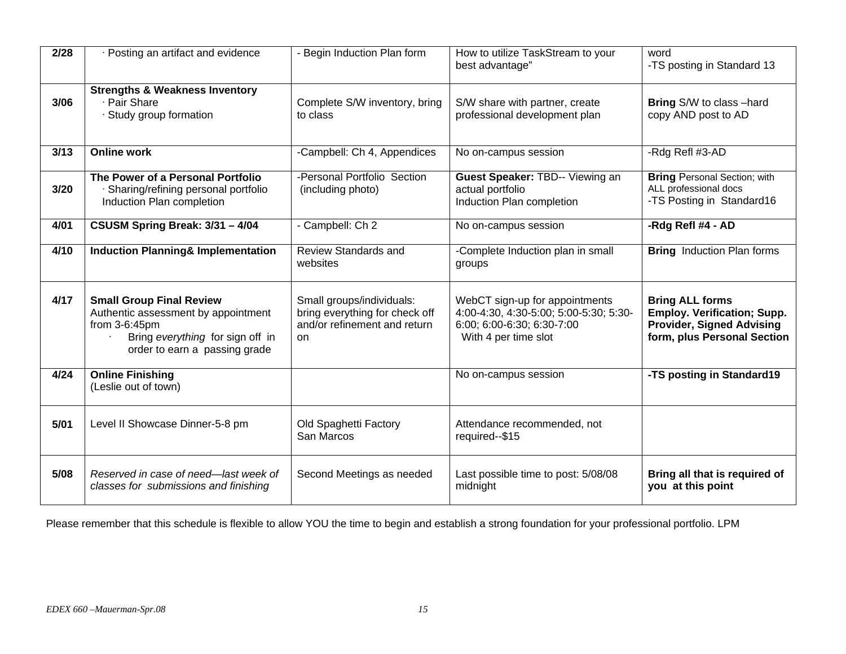| 2/28 | Posting an artifact and evidence                                                                                                                                | - Begin Induction Plan form                                                                       | How to utilize TaskStream to your<br>best advantage"                                                                           | word<br>-TS posting in Standard 13                                                                                              |
|------|-----------------------------------------------------------------------------------------------------------------------------------------------------------------|---------------------------------------------------------------------------------------------------|--------------------------------------------------------------------------------------------------------------------------------|---------------------------------------------------------------------------------------------------------------------------------|
| 3/06 | <b>Strengths &amp; Weakness Inventory</b><br>· Pair Share<br>· Study group formation                                                                            | Complete S/W inventory, bring<br>to class                                                         | S/W share with partner, create<br>professional development plan                                                                | Bring S/W to class -hard<br>copy AND post to AD                                                                                 |
| 3/13 | <b>Online work</b>                                                                                                                                              | -Campbell: Ch 4, Appendices                                                                       | No on-campus session                                                                                                           | -Rdg Refl #3-AD                                                                                                                 |
| 3/20 | The Power of a Personal Portfolio<br>· Sharing/refining personal portfolio<br>Induction Plan completion                                                         | -Personal Portfolio Section<br>(including photo)                                                  | Guest Speaker: TBD-- Viewing an<br>actual portfolio<br>Induction Plan completion                                               | <b>Bring Personal Section; with</b><br>ALL professional docs<br>-TS Posting in Standard16                                       |
| 4/01 | CSUSM Spring Break: 3/31 - 4/04                                                                                                                                 | - Campbell: Ch 2                                                                                  | No on-campus session                                                                                                           | -Rdg Refl #4 - AD                                                                                                               |
| 4/10 | <b>Induction Planning&amp; Implementation</b>                                                                                                                   | <b>Review Standards and</b><br>websites                                                           | -Complete Induction plan in small<br>groups                                                                                    | <b>Bring</b> Induction Plan forms                                                                                               |
| 4/17 | <b>Small Group Final Review</b><br>Authentic assessment by appointment<br>from $3-6:45$ pm<br>Bring everything for sign off in<br>order to earn a passing grade | Small groups/individuals:<br>bring everything for check off<br>and/or refinement and return<br>on | WebCT sign-up for appointments<br>4:00-4:30, 4:30-5:00; 5:00-5:30; 5:30-<br>6:00; 6:00-6:30; 6:30-7:00<br>With 4 per time slot | <b>Bring ALL forms</b><br><b>Employ. Verification; Supp.</b><br><b>Provider, Signed Advising</b><br>form, plus Personal Section |
| 4/24 | <b>Online Finishing</b><br>(Leslie out of town)                                                                                                                 |                                                                                                   | No on-campus session                                                                                                           | -TS posting in Standard19                                                                                                       |
| 5/01 | Level II Showcase Dinner-5-8 pm                                                                                                                                 | Old Spaghetti Factory<br>San Marcos                                                               | Attendance recommended, not<br>required--\$15                                                                                  |                                                                                                                                 |
| 5/08 | Reserved in case of need-last week of<br>classes for submissions and finishing                                                                                  | Second Meetings as needed                                                                         | Last possible time to post: 5/08/08<br>midnight                                                                                | Bring all that is required of<br>you at this point                                                                              |

Please remember that this schedule is flexible to allow YOU the time to begin and establish a strong foundation for your professional portfolio. LPM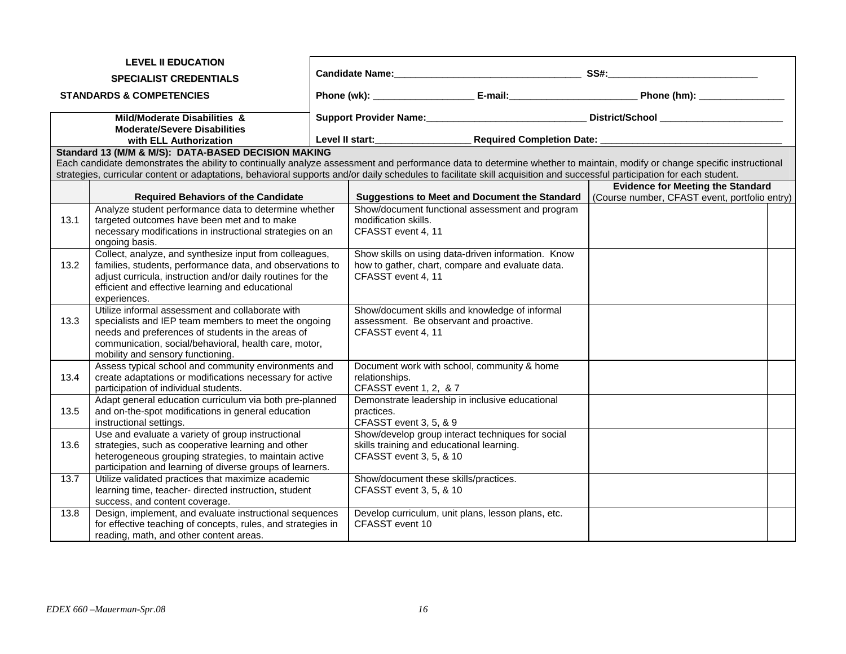|                               | <b>LEVEL II EDUCATION</b>                                                                                     |                                                                                                                                                                          |                                               |  |
|-------------------------------|---------------------------------------------------------------------------------------------------------------|--------------------------------------------------------------------------------------------------------------------------------------------------------------------------|-----------------------------------------------|--|
| <b>SPECIALIST CREDENTIALS</b> |                                                                                                               |                                                                                                                                                                          |                                               |  |
|                               | <b>STANDARDS &amp; COMPETENCIES</b>                                                                           | Phone (wk): ______________________________E-mail:_________________________________Phone (hm): ________________                                                           |                                               |  |
|                               | Mild/Moderate Disabilities &                                                                                  | Support Provider Name: Mame. And District/School Manuscription Name: Manuscription October 2014                                                                          |                                               |  |
|                               | <b>Moderate/Severe Disabilities</b>                                                                           |                                                                                                                                                                          |                                               |  |
|                               | with ELL Authorization                                                                                        | Required Completion Date: _______________                                                                                                                                |                                               |  |
|                               | Standard 13 (M/M & M/S): DATA-BASED DECISION MAKING                                                           | Each candidate demonstrates the ability to continually analyze assessment and performance data to determine whether to maintain, modify or change specific instructional |                                               |  |
|                               |                                                                                                               | strategies, curricular content or adaptations, behavioral supports and/or daily schedules to facilitate skill acquisition and successful participation for each student. |                                               |  |
|                               |                                                                                                               |                                                                                                                                                                          | <b>Evidence for Meeting the Standard</b>      |  |
|                               | <b>Required Behaviors of the Candidate</b>                                                                    | <b>Suggestions to Meet and Document the Standard</b>                                                                                                                     | (Course number, CFAST event, portfolio entry) |  |
|                               | Analyze student performance data to determine whether                                                         | Show/document functional assessment and program                                                                                                                          |                                               |  |
| 13.1                          | targeted outcomes have been met and to make                                                                   | modification skills.                                                                                                                                                     |                                               |  |
|                               | necessary modifications in instructional strategies on an                                                     | CFASST event 4, 11                                                                                                                                                       |                                               |  |
|                               | ongoing basis.<br>Collect, analyze, and synthesize input from colleagues,                                     | Show skills on using data-driven information. Know                                                                                                                       |                                               |  |
| 13.2                          | families, students, performance data, and observations to                                                     | how to gather, chart, compare and evaluate data.                                                                                                                         |                                               |  |
|                               | adjust curricula, instruction and/or daily routines for the                                                   | CFASST event 4, 11                                                                                                                                                       |                                               |  |
|                               | efficient and effective learning and educational                                                              |                                                                                                                                                                          |                                               |  |
|                               | experiences.                                                                                                  |                                                                                                                                                                          |                                               |  |
|                               | Utilize informal assessment and collaborate with                                                              | Show/document skills and knowledge of informal                                                                                                                           |                                               |  |
| 13.3                          | specialists and IEP team members to meet the ongoing<br>needs and preferences of students in the areas of     | assessment. Be observant and proactive.<br>CFASST event 4, 11                                                                                                            |                                               |  |
|                               | communication, social/behavioral, health care, motor,                                                         |                                                                                                                                                                          |                                               |  |
|                               | mobility and sensory functioning.                                                                             |                                                                                                                                                                          |                                               |  |
|                               | Assess typical school and community environments and                                                          | Document work with school, community & home                                                                                                                              |                                               |  |
| 13.4                          | create adaptations or modifications necessary for active                                                      | relationships.                                                                                                                                                           |                                               |  |
|                               | participation of individual students.                                                                         | CFASST event 1, 2, & 7                                                                                                                                                   |                                               |  |
| 13.5                          | Adapt general education curriculum via both pre-planned<br>and on-the-spot modifications in general education | Demonstrate leadership in inclusive educational<br>practices.                                                                                                            |                                               |  |
|                               | instructional settings.                                                                                       | CFASST event 3, 5, & 9                                                                                                                                                   |                                               |  |
|                               | Use and evaluate a variety of group instructional                                                             | Show/develop group interact techniques for social                                                                                                                        |                                               |  |
| 13.6                          | strategies, such as cooperative learning and other                                                            | skills training and educational learning.                                                                                                                                |                                               |  |
|                               | heterogeneous grouping strategies, to maintain active                                                         | CFASST event 3, 5, & 10                                                                                                                                                  |                                               |  |
|                               | participation and learning of diverse groups of learners.                                                     |                                                                                                                                                                          |                                               |  |
| 13.7                          | Utilize validated practices that maximize academic<br>learning time, teacher- directed instruction, student   | Show/document these skills/practices.<br>CFASST event 3, 5, & 10                                                                                                         |                                               |  |
|                               | success, and content coverage.                                                                                |                                                                                                                                                                          |                                               |  |
| 13.8                          | Design, implement, and evaluate instructional sequences                                                       | Develop curriculum, unit plans, lesson plans, etc.                                                                                                                       |                                               |  |
|                               | for effective teaching of concepts, rules, and strategies in                                                  | CFASST event 10                                                                                                                                                          |                                               |  |
|                               | reading, math, and other content areas.                                                                       |                                                                                                                                                                          |                                               |  |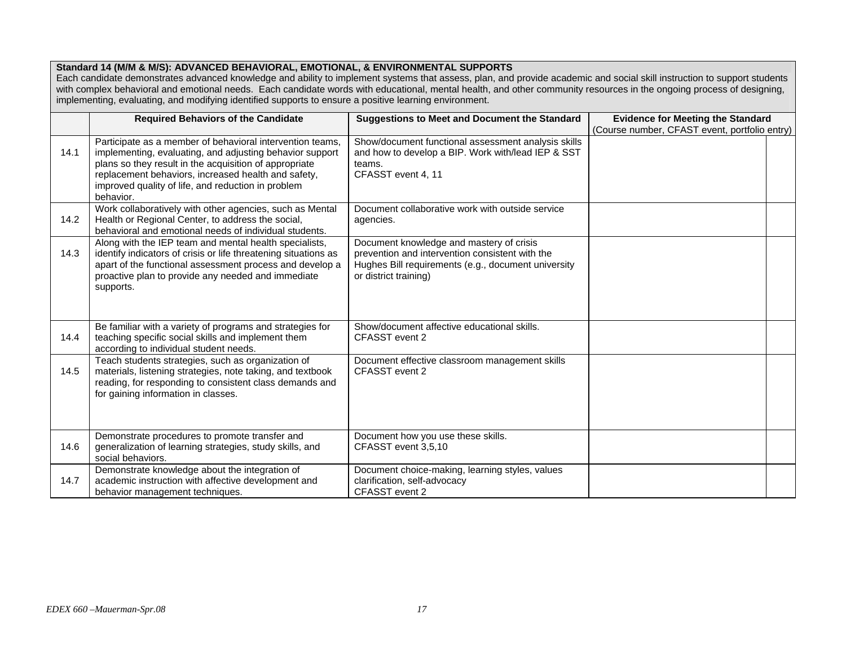### **Standard 14 (M/M & M/S): ADVANCED BEHAVIORAL, EMOTIONAL, & ENVIRONMENTAL SUPPORTS**

Each candidate demonstrates advanced knowledge and ability to implement systems that assess, plan, and provide academic and social skill instruction to support students with complex behavioral and emotional needs. Each candidate words with educational, mental health, and other community resources in the ongoing process of designing, implementing, evaluating, and modifying identified supports to ensure a positive learning environment.

|      | <b>Required Behaviors of the Candidate</b>                                                                                                                                                                                                                                                                | <b>Suggestions to Meet and Document the Standard</b>                                                                                                                        | <b>Evidence for Meeting the Standard</b>      |
|------|-----------------------------------------------------------------------------------------------------------------------------------------------------------------------------------------------------------------------------------------------------------------------------------------------------------|-----------------------------------------------------------------------------------------------------------------------------------------------------------------------------|-----------------------------------------------|
|      |                                                                                                                                                                                                                                                                                                           |                                                                                                                                                                             | (Course number, CFAST event, portfolio entry) |
| 14.1 | Participate as a member of behavioral intervention teams,<br>implementing, evaluating, and adjusting behavior support<br>plans so they result in the acquisition of appropriate<br>replacement behaviors, increased health and safety,<br>improved quality of life, and reduction in problem<br>behavior. | Show/document functional assessment analysis skills<br>and how to develop a BIP. Work with/lead IEP & SST<br>teams.<br>CFASST event 4, 11                                   |                                               |
| 14.2 | Work collaboratively with other agencies, such as Mental<br>Health or Regional Center, to address the social,<br>behavioral and emotional needs of individual students.                                                                                                                                   | Document collaborative work with outside service<br>agencies.                                                                                                               |                                               |
| 14.3 | Along with the IEP team and mental health specialists,<br>identify indicators of crisis or life threatening situations as<br>apart of the functional assessment process and develop a<br>proactive plan to provide any needed and immediate<br>supports.                                                  | Document knowledge and mastery of crisis<br>prevention and intervention consistent with the<br>Hughes Bill requirements (e.g., document university<br>or district training) |                                               |
| 14.4 | Be familiar with a variety of programs and strategies for<br>teaching specific social skills and implement them<br>according to individual student needs.                                                                                                                                                 | Show/document affective educational skills.<br>CFASST event 2                                                                                                               |                                               |
| 14.5 | Teach students strategies, such as organization of<br>materials, listening strategies, note taking, and textbook<br>reading, for responding to consistent class demands and<br>for gaining information in classes.                                                                                        | Document effective classroom management skills<br>CFASST event 2                                                                                                            |                                               |
| 14.6 | Demonstrate procedures to promote transfer and<br>generalization of learning strategies, study skills, and<br>social behaviors.                                                                                                                                                                           | Document how you use these skills.<br>CFASST event 3,5,10                                                                                                                   |                                               |
| 14.7 | Demonstrate knowledge about the integration of<br>academic instruction with affective development and<br>behavior management techniques.                                                                                                                                                                  | Document choice-making, learning styles, values<br>clarification, self-advocacy<br>CFASST event 2                                                                           |                                               |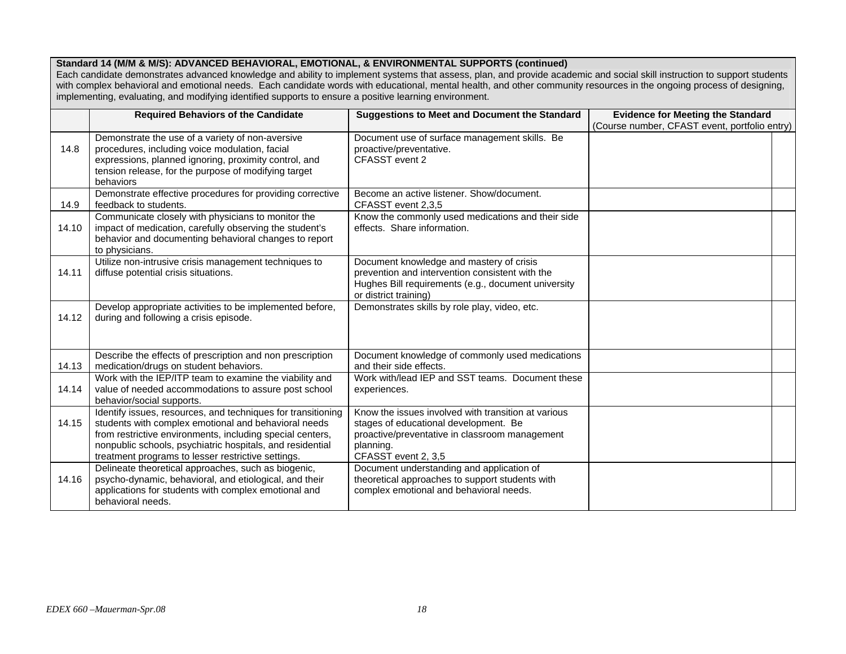#### **Standard 14 (M/M & M/S): ADVANCED BEHAVIORAL, EMOTIONAL, & ENVIRONMENTAL SUPPORTS (continued)**

Each candidate demonstrates advanced knowledge and ability to implement systems that assess, plan, and provide academic and social skill instruction to support students with complex behavioral and emotional needs. Each candidate words with educational, mental health, and other community resources in the ongoing process of designing, implementing, evaluating, and modifying identified supports to ensure a positive learning environment.

|       | <b>Required Behaviors of the Candidate</b>                                                                                                                                                                                                                                                           | <b>Suggestions to Meet and Document the Standard</b>                                                                                                                               | <b>Evidence for Meeting the Standard</b>      |
|-------|------------------------------------------------------------------------------------------------------------------------------------------------------------------------------------------------------------------------------------------------------------------------------------------------------|------------------------------------------------------------------------------------------------------------------------------------------------------------------------------------|-----------------------------------------------|
|       |                                                                                                                                                                                                                                                                                                      |                                                                                                                                                                                    | (Course number, CFAST event, portfolio entry) |
| 14.8  | Demonstrate the use of a variety of non-aversive<br>procedures, including voice modulation, facial<br>expressions, planned ignoring, proximity control, and<br>tension release, for the purpose of modifying target<br>behaviors                                                                     | Document use of surface management skills. Be<br>proactive/preventative.<br>CFASST event 2                                                                                         |                                               |
| 14.9  | Demonstrate effective procedures for providing corrective<br>feedback to students.                                                                                                                                                                                                                   | Become an active listener. Show/document.<br>CFASST event 2,3,5                                                                                                                    |                                               |
| 14.10 | Communicate closely with physicians to monitor the<br>impact of medication, carefully observing the student's<br>behavior and documenting behavioral changes to report<br>to physicians.                                                                                                             | Know the commonly used medications and their side<br>effects. Share information.                                                                                                   |                                               |
| 14.11 | Utilize non-intrusive crisis management techniques to<br>diffuse potential crisis situations.                                                                                                                                                                                                        | Document knowledge and mastery of crisis<br>prevention and intervention consistent with the<br>Hughes Bill requirements (e.g., document university<br>or district training)        |                                               |
| 14.12 | Develop appropriate activities to be implemented before,<br>during and following a crisis episode.                                                                                                                                                                                                   | Demonstrates skills by role play, video, etc.                                                                                                                                      |                                               |
| 14.13 | Describe the effects of prescription and non prescription<br>medication/drugs on student behaviors.                                                                                                                                                                                                  | Document knowledge of commonly used medications<br>and their side effects.                                                                                                         |                                               |
| 14.14 | Work with the IEP/ITP team to examine the viability and<br>value of needed accommodations to assure post school<br>behavior/social supports.                                                                                                                                                         | Work with/lead IEP and SST teams. Document these<br>experiences.                                                                                                                   |                                               |
| 14.15 | Identify issues, resources, and techniques for transitioning<br>students with complex emotional and behavioral needs<br>from restrictive environments, including special centers,<br>nonpublic schools, psychiatric hospitals, and residential<br>treatment programs to lesser restrictive settings. | Know the issues involved with transition at various<br>stages of educational development. Be<br>proactive/preventative in classroom management<br>planning.<br>CFASST event 2, 3,5 |                                               |
| 14.16 | Delineate theoretical approaches, such as biogenic,<br>psycho-dynamic, behavioral, and etiological, and their<br>applications for students with complex emotional and<br>behavioral needs.                                                                                                           | Document understanding and application of<br>theoretical approaches to support students with<br>complex emotional and behavioral needs.                                            |                                               |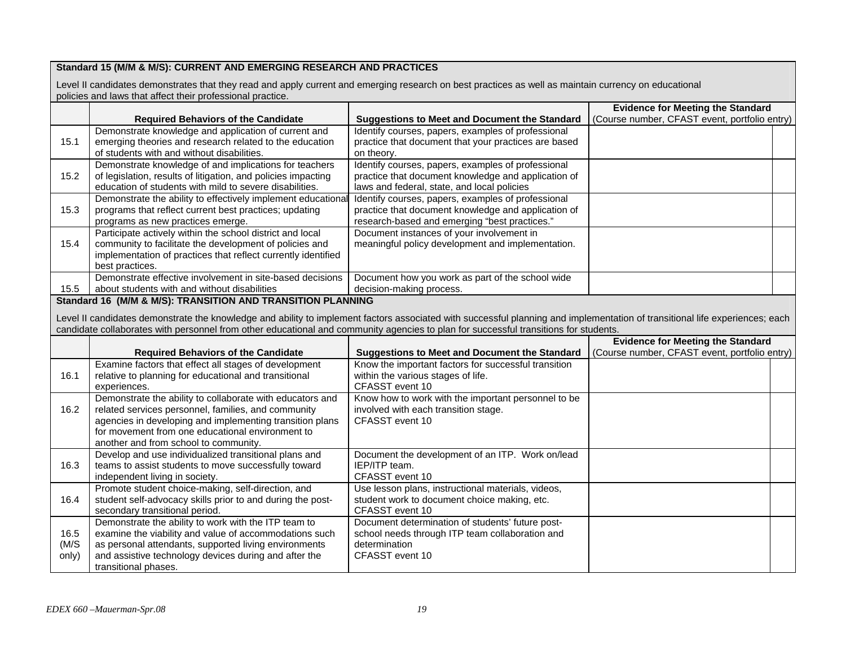### **Standard 15 (M/M & M/S): CURRENT AND EMERGING RESEARCH AND PRACTICES**

Level II candidates demonstrates that they read and apply current and emerging research on best practices as well as maintain currency on educational policies and laws that affect their professional practice.

|       |                                                                                                                                                                              |                                                                     | <b>Evidence for Meeting the Standard</b>      |  |
|-------|------------------------------------------------------------------------------------------------------------------------------------------------------------------------------|---------------------------------------------------------------------|-----------------------------------------------|--|
|       | <b>Required Behaviors of the Candidate</b>                                                                                                                                   | <b>Suggestions to Meet and Document the Standard</b>                | (Course number, CFAST event, portfolio entry) |  |
|       | Demonstrate knowledge and application of current and                                                                                                                         | Identify courses, papers, examples of professional                  |                                               |  |
| 15.1  | emerging theories and research related to the education                                                                                                                      | practice that document that your practices are based                |                                               |  |
|       | of students with and without disabilities.                                                                                                                                   | on theory.                                                          |                                               |  |
|       | Demonstrate knowledge of and implications for teachers                                                                                                                       | Identify courses, papers, examples of professional                  |                                               |  |
| 15.2  | of legislation, results of litigation, and policies impacting                                                                                                                | practice that document knowledge and application of                 |                                               |  |
|       | education of students with mild to severe disabilities.                                                                                                                      | laws and federal, state, and local policies                         |                                               |  |
|       | Demonstrate the ability to effectively implement educational                                                                                                                 | Identify courses, papers, examples of professional                  |                                               |  |
| 15.3  | programs that reflect current best practices; updating                                                                                                                       | practice that document knowledge and application of                 |                                               |  |
|       | programs as new practices emerge.                                                                                                                                            | research-based and emerging "best practices."                       |                                               |  |
|       | Participate actively within the school district and local                                                                                                                    | Document instances of your involvement in                           |                                               |  |
| 15.4  | community to facilitate the development of policies and                                                                                                                      | meaningful policy development and implementation.                   |                                               |  |
|       | implementation of practices that reflect currently identified                                                                                                                |                                                                     |                                               |  |
|       | best practices.                                                                                                                                                              |                                                                     |                                               |  |
|       | Demonstrate effective involvement in site-based decisions                                                                                                                    | Document how you work as part of the school wide                    |                                               |  |
| 15.5  | about students with and without disabilities                                                                                                                                 | decision-making process.                                            |                                               |  |
|       | Standard 16 (M/M & M/S): TRANSITION AND TRANSITION PLANNING                                                                                                                  |                                                                     |                                               |  |
|       | Level II candidates demonstrate the knowledge and ability to implement factors associated with successful planning and implementation of transitional life experiences; each |                                                                     |                                               |  |
|       | candidate collaborates with personnel from other educational and community agencies to plan for successful transitions for students.                                         |                                                                     |                                               |  |
|       |                                                                                                                                                                              |                                                                     |                                               |  |
|       |                                                                                                                                                                              |                                                                     |                                               |  |
|       |                                                                                                                                                                              |                                                                     | <b>Evidence for Meeting the Standard</b>      |  |
|       | <b>Required Behaviors of the Candidate</b>                                                                                                                                   | <b>Suggestions to Meet and Document the Standard</b>                | (Course number, CFAST event, portfolio entry) |  |
|       | Examine factors that effect all stages of development                                                                                                                        | Know the important factors for successful transition                |                                               |  |
| 16.1  | relative to planning for educational and transitional                                                                                                                        | within the various stages of life.                                  |                                               |  |
|       | experiences.                                                                                                                                                                 | CFASST event 10                                                     |                                               |  |
|       | Demonstrate the ability to collaborate with educators and                                                                                                                    | Know how to work with the important personnel to be                 |                                               |  |
| 16.2  | related services personnel, families, and community                                                                                                                          | involved with each transition stage.                                |                                               |  |
|       | agencies in developing and implementing transition plans                                                                                                                     | CFASST event 10                                                     |                                               |  |
|       | for movement from one educational environment to                                                                                                                             |                                                                     |                                               |  |
|       | another and from school to community.                                                                                                                                        |                                                                     |                                               |  |
|       | Develop and use individualized transitional plans and                                                                                                                        | Document the development of an ITP. Work on/lead                    |                                               |  |
| 16.3  | teams to assist students to move successfully toward                                                                                                                         | IEP/ITP team.                                                       |                                               |  |
|       | independent living in society.                                                                                                                                               | CFASST event 10                                                     |                                               |  |
|       | Promote student choice-making, self-direction, and                                                                                                                           | Use lesson plans, instructional materials, videos,                  |                                               |  |
| 16.4  | student self-advocacy skills prior to and during the post-                                                                                                                   | student work to document choice making, etc.                        |                                               |  |
|       | secondary transitional period.<br>Demonstrate the ability to work with the ITP team to                                                                                       | CFASST event 10<br>Document determination of students' future post- |                                               |  |
| 16.5  | examine the viability and value of accommodations such                                                                                                                       | school needs through ITP team collaboration and                     |                                               |  |
| (M/S) |                                                                                                                                                                              | determination                                                       |                                               |  |
| only) | as personal attendants, supported living environments<br>and assistive technology devices during and after the                                                               | CFASST event 10                                                     |                                               |  |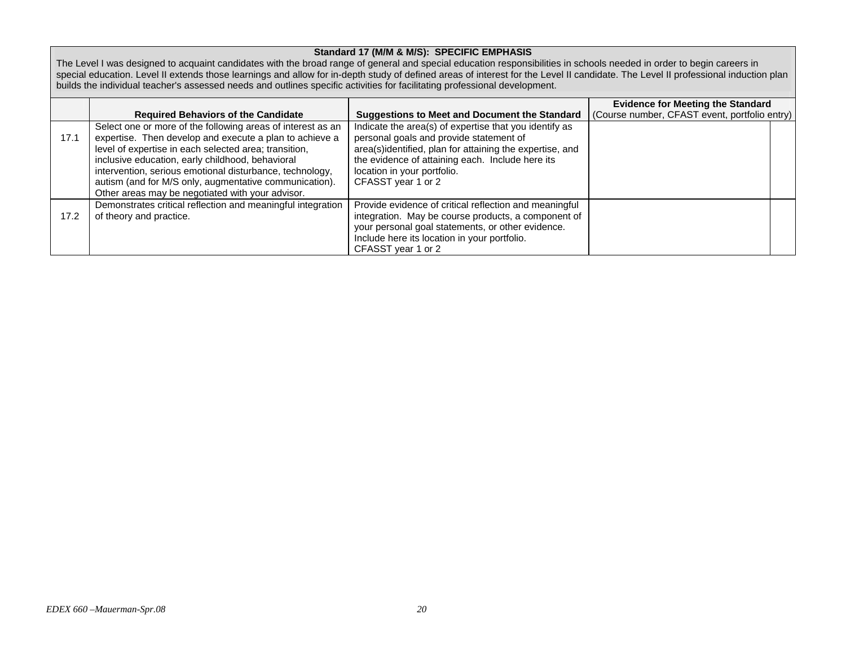### **Standard 17 (M/M & M/S): SPECIFIC EMPHASIS**

The Level I was designed to acquaint candidates with the broad range of general and special education responsibilities in schools needed in order to begin careers in special education. Level II extends those learnings and allow for in-depth study of defined areas of interest for the Level II candidate. The Level II professional induction plan builds the individual teacher's assessed needs and outlines specific activities for facilitating professional development.

|      |                                                                                                                                                                                                                                                                                                                                                                                                               |                                                                                                                                                                                                                                                                        | <b>Evidence for Meeting the Standard</b>      |
|------|---------------------------------------------------------------------------------------------------------------------------------------------------------------------------------------------------------------------------------------------------------------------------------------------------------------------------------------------------------------------------------------------------------------|------------------------------------------------------------------------------------------------------------------------------------------------------------------------------------------------------------------------------------------------------------------------|-----------------------------------------------|
|      | <b>Required Behaviors of the Candidate</b>                                                                                                                                                                                                                                                                                                                                                                    | <b>Suggestions to Meet and Document the Standard</b>                                                                                                                                                                                                                   | (Course number, CFAST event, portfolio entry) |
| 17.1 | Select one or more of the following areas of interest as an<br>expertise. Then develop and execute a plan to achieve a<br>level of expertise in each selected area; transition,<br>inclusive education, early childhood, behavioral<br>intervention, serious emotional disturbance, technology,<br>autism (and for M/S only, augmentative communication).<br>Other areas may be negotiated with your advisor. | Indicate the area(s) of expertise that you identify as<br>personal goals and provide statement of<br>area(s)identified, plan for attaining the expertise, and<br>the evidence of attaining each. Include here its<br>location in your portfolio.<br>CFASST year 1 or 2 |                                               |
| 17.2 | Demonstrates critical reflection and meaningful integration<br>of theory and practice.                                                                                                                                                                                                                                                                                                                        | Provide evidence of critical reflection and meaningful<br>integration. May be course products, a component of<br>your personal goal statements, or other evidence.<br>Include here its location in your portfolio.<br>CFASST year 1 or 2                               |                                               |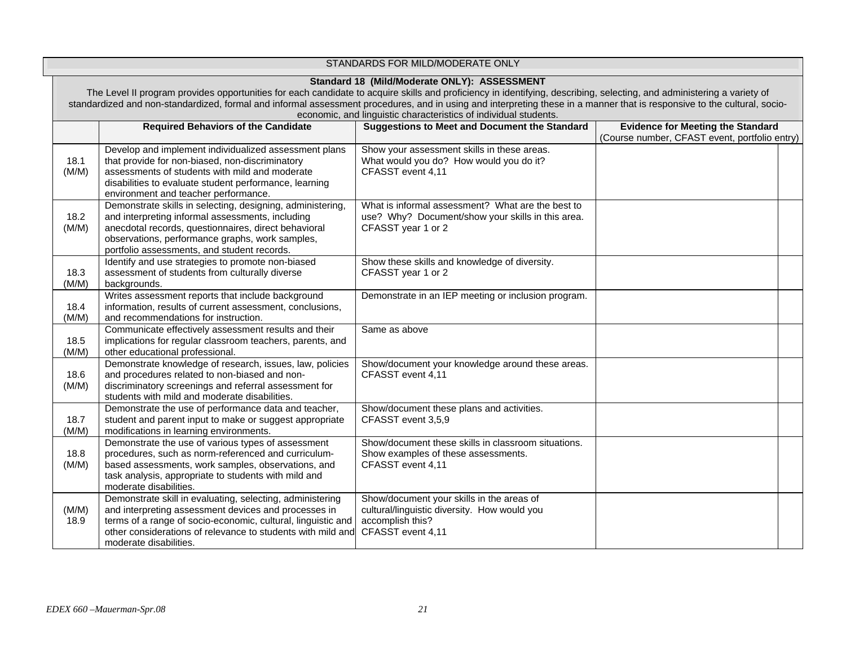| STANDARDS FOR MILD/MODERATE ONLY |                                                                                                                                                                                                                                                                                                                                                                                                                                                                        |                                                                                                                                    |                                                                                           |  |  |
|----------------------------------|------------------------------------------------------------------------------------------------------------------------------------------------------------------------------------------------------------------------------------------------------------------------------------------------------------------------------------------------------------------------------------------------------------------------------------------------------------------------|------------------------------------------------------------------------------------------------------------------------------------|-------------------------------------------------------------------------------------------|--|--|
|                                  | Standard 18 (Mild/Moderate ONLY): ASSESSMENT<br>The Level II program provides opportunities for each candidate to acquire skills and proficiency in identifying, describing, selecting, and administering a variety of<br>standardized and non-standardized, formal and informal assessment procedures, and in using and interpreting these in a manner that is responsive to the cultural, socio-<br>economic, and linguistic characteristics of individual students. |                                                                                                                                    |                                                                                           |  |  |
|                                  | <b>Required Behaviors of the Candidate</b>                                                                                                                                                                                                                                                                                                                                                                                                                             | <b>Suggestions to Meet and Document the Standard</b>                                                                               | <b>Evidence for Meeting the Standard</b><br>(Course number, CFAST event, portfolio entry) |  |  |
| 18.1<br>(M/M)                    | Develop and implement individualized assessment plans<br>that provide for non-biased, non-discriminatory<br>assessments of students with mild and moderate<br>disabilities to evaluate student performance, learning<br>environment and teacher performance.                                                                                                                                                                                                           | Show your assessment skills in these areas.<br>What would you do? How would you do it?<br>CFASST event 4,11                        |                                                                                           |  |  |
| 18.2<br>(M/M)                    | Demonstrate skills in selecting, designing, administering,<br>and interpreting informal assessments, including<br>anecdotal records, questionnaires, direct behavioral<br>observations, performance graphs, work samples,<br>portfolio assessments, and student records.                                                                                                                                                                                               | What is informal assessment? What are the best to<br>use? Why? Document/show your skills in this area.<br>CFASST year 1 or 2       |                                                                                           |  |  |
| 18.3<br>(M/M)                    | Identify and use strategies to promote non-biased<br>assessment of students from culturally diverse<br>backgrounds.                                                                                                                                                                                                                                                                                                                                                    | Show these skills and knowledge of diversity.<br>CFASST year 1 or 2                                                                |                                                                                           |  |  |
| 18.4<br>(M/M)                    | Writes assessment reports that include background<br>information, results of current assessment, conclusions,<br>and recommendations for instruction.                                                                                                                                                                                                                                                                                                                  | Demonstrate in an IEP meeting or inclusion program.                                                                                |                                                                                           |  |  |
| 18.5<br>(M/M)                    | Communicate effectively assessment results and their<br>implications for regular classroom teachers, parents, and<br>other educational professional.                                                                                                                                                                                                                                                                                                                   | Same as above                                                                                                                      |                                                                                           |  |  |
| 18.6<br>(M/M)                    | Demonstrate knowledge of research, issues, law, policies<br>and procedures related to non-biased and non-<br>discriminatory screenings and referral assessment for<br>students with mild and moderate disabilities.                                                                                                                                                                                                                                                    | Show/document your knowledge around these areas.<br>CFASST event 4,11                                                              |                                                                                           |  |  |
| 18.7<br>(M/M)                    | Demonstrate the use of performance data and teacher,<br>student and parent input to make or suggest appropriate<br>modifications in learning environments.                                                                                                                                                                                                                                                                                                             | Show/document these plans and activities.<br>CFASST event 3,5,9                                                                    |                                                                                           |  |  |
| 18.8<br>(M/M)                    | Demonstrate the use of various types of assessment<br>procedures, such as norm-referenced and curriculum-<br>based assessments, work samples, observations, and<br>task analysis, appropriate to students with mild and<br>moderate disabilities.                                                                                                                                                                                                                      | Show/document these skills in classroom situations.<br>Show examples of these assessments.<br>CFASST event 4,11                    |                                                                                           |  |  |
| (M/M)<br>18.9                    | Demonstrate skill in evaluating, selecting, administering<br>and interpreting assessment devices and processes in<br>terms of a range of socio-economic, cultural, linguistic and<br>other considerations of relevance to students with mild and<br>moderate disabilities.                                                                                                                                                                                             | Show/document your skills in the areas of<br>cultural/linguistic diversity. How would you<br>accomplish this?<br>CFASST event 4,11 |                                                                                           |  |  |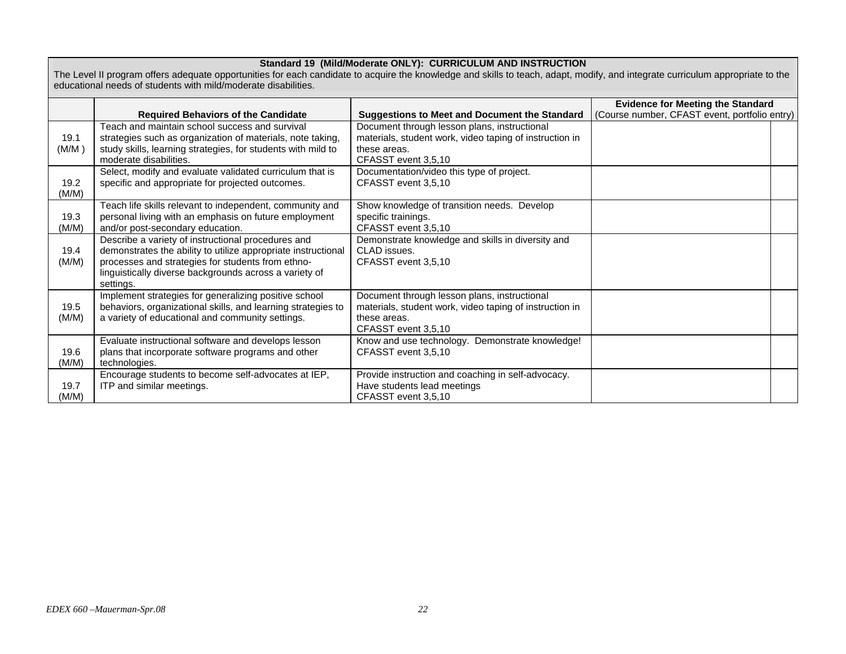#### **Standard 19 (Mild/Moderate ONLY): CURRICULUM AND INSTRUCTION**

The Level II program offers adequate opportunities for each candidate to acquire the knowledge and skills to teach, adapt, modify, and integrate curriculum appropriate to the educational needs of students with mild/moderate disabilities.

|               |                                                                                                                                                                                                                                                 |                                                                                                                                                | <b>Evidence for Meeting the Standard</b>      |  |
|---------------|-------------------------------------------------------------------------------------------------------------------------------------------------------------------------------------------------------------------------------------------------|------------------------------------------------------------------------------------------------------------------------------------------------|-----------------------------------------------|--|
|               | <b>Required Behaviors of the Candidate</b>                                                                                                                                                                                                      | <b>Suggestions to Meet and Document the Standard</b>                                                                                           | (Course number, CFAST event, portfolio entry) |  |
| 19.1<br>(M/M) | Teach and maintain school success and survival<br>strategies such as organization of materials, note taking,<br>study skills, learning strategies, for students with mild to<br>moderate disabilities.                                          | Document through lesson plans, instructional<br>materials, student work, video taping of instruction in<br>these areas.<br>CFASST event 3,5,10 |                                               |  |
| 19.2<br>(M/M) | Select, modify and evaluate validated curriculum that is<br>specific and appropriate for projected outcomes.                                                                                                                                    | Documentation/video this type of project.<br>CFASST event 3,5,10                                                                               |                                               |  |
| 19.3<br>(M/M) | Teach life skills relevant to independent, community and<br>personal living with an emphasis on future employment<br>and/or post-secondary education.                                                                                           | Show knowledge of transition needs. Develop<br>specific trainings.<br>CFASST event 3,5,10                                                      |                                               |  |
| 19.4<br>(M/M) | Describe a variety of instructional procedures and<br>demonstrates the ability to utilize appropriate instructional<br>processes and strategies for students from ethno-<br>linguistically diverse backgrounds across a variety of<br>settings. | Demonstrate knowledge and skills in diversity and<br>CLAD issues.<br>CFASST event 3,5,10                                                       |                                               |  |
| 19.5<br>(M/M) | Implement strategies for generalizing positive school<br>behaviors, organizational skills, and learning strategies to<br>a variety of educational and community settings.                                                                       | Document through lesson plans, instructional<br>materials, student work, video taping of instruction in<br>these areas.<br>CFASST event 3,5,10 |                                               |  |
| 19.6<br>(M/M) | Evaluate instructional software and develops lesson<br>plans that incorporate software programs and other<br>technologies.                                                                                                                      | Know and use technology. Demonstrate knowledge!<br>CFASST event 3,5,10                                                                         |                                               |  |
| 19.7<br>(M/M) | Encourage students to become self-advocates at IEP,<br>ITP and similar meetings.                                                                                                                                                                | Provide instruction and coaching in self-advocacy.<br>Have students lead meetings<br>CFASST event 3,5,10                                       |                                               |  |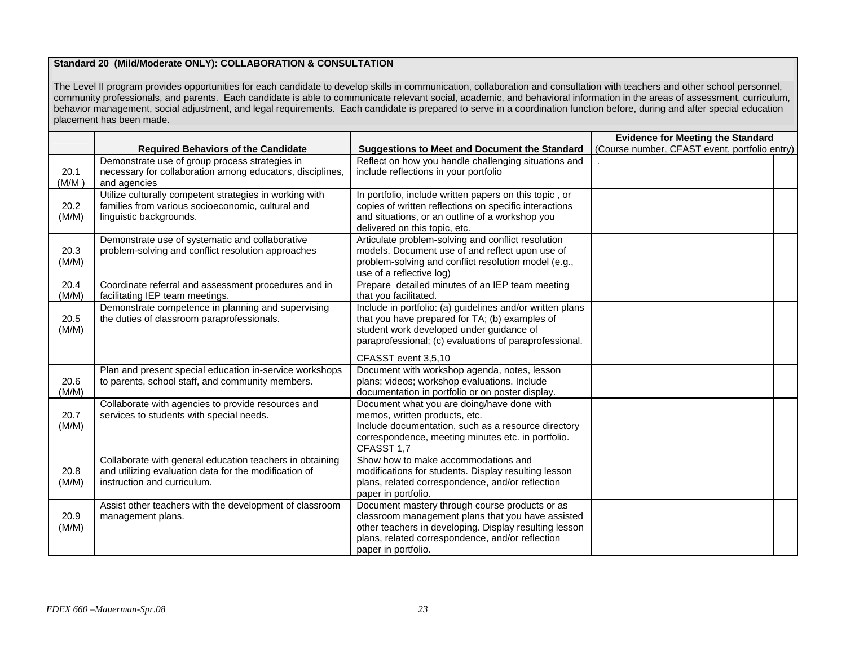### **Standard 20 (Mild/Moderate ONLY): COLLABORATION & CONSULTATION**

The Level II program provides opportunities for each candidate to develop skills in communication, collaboration and consultation with teachers and other school personnel, community professionals, and parents. Each candidate is able to communicate relevant social, academic, and behavioral information in the areas of assessment, curriculum, behavior management, social adjustment, and legal requirements. Each candidate is prepared to serve in a coordination function before, during and after special education placement has been made.

|               |                                                                                                                                                  |                                                                                                                                                                                                                                          | <b>Evidence for Meeting the Standard</b>      |
|---------------|--------------------------------------------------------------------------------------------------------------------------------------------------|------------------------------------------------------------------------------------------------------------------------------------------------------------------------------------------------------------------------------------------|-----------------------------------------------|
|               | <b>Required Behaviors of the Candidate</b>                                                                                                       | <b>Suggestions to Meet and Document the Standard</b>                                                                                                                                                                                     | (Course number, CFAST event, portfolio entry) |
| 20.1<br>(M/M) | Demonstrate use of group process strategies in<br>necessary for collaboration among educators, disciplines,<br>and agencies                      | Reflect on how you handle challenging situations and<br>include reflections in your portfolio                                                                                                                                            |                                               |
| 20.2<br>(M/M) | Utilize culturally competent strategies in working with<br>families from various socioeconomic, cultural and<br>linguistic backgrounds.          | In portfolio, include written papers on this topic, or<br>copies of written reflections on specific interactions<br>and situations, or an outline of a workshop you<br>delivered on this topic, etc.                                     |                                               |
| 20.3<br>(M/M) | Demonstrate use of systematic and collaborative<br>problem-solving and conflict resolution approaches                                            | Articulate problem-solving and conflict resolution<br>models. Document use of and reflect upon use of<br>problem-solving and conflict resolution model (e.g.,<br>use of a reflective log)                                                |                                               |
| 20.4<br>(M/M) | Coordinate referral and assessment procedures and in<br>facilitating IEP team meetings.                                                          | Prepare detailed minutes of an IEP team meeting<br>that you facilitated.                                                                                                                                                                 |                                               |
| 20.5<br>(M/M) | Demonstrate competence in planning and supervising<br>the duties of classroom paraprofessionals.                                                 | Include in portfolio: (a) guidelines and/or written plans<br>that you have prepared for TA; (b) examples of<br>student work developed under guidance of<br>paraprofessional; (c) evaluations of paraprofessional.                        |                                               |
| 20.6<br>(M/M) | Plan and present special education in-service workshops<br>to parents, school staff, and community members.                                      | CFASST event 3.5.10<br>Document with workshop agenda, notes, lesson<br>plans; videos; workshop evaluations. Include<br>documentation in portfolio or on poster display.                                                                  |                                               |
| 20.7<br>(M/M) | Collaborate with agencies to provide resources and<br>services to students with special needs.                                                   | Document what you are doing/have done with<br>memos, written products, etc.<br>Include documentation, such as a resource directory<br>correspondence, meeting minutes etc. in portfolio.<br>CFASST 1,7                                   |                                               |
| 20.8<br>(M/M) | Collaborate with general education teachers in obtaining<br>and utilizing evaluation data for the modification of<br>instruction and curriculum. | Show how to make accommodations and<br>modifications for students. Display resulting lesson<br>plans, related correspondence, and/or reflection<br>paper in portfolio.                                                                   |                                               |
| 20.9<br>(M/M) | Assist other teachers with the development of classroom<br>management plans.                                                                     | Document mastery through course products or as<br>classroom management plans that you have assisted<br>other teachers in developing. Display resulting lesson<br>plans, related correspondence, and/or reflection<br>paper in portfolio. |                                               |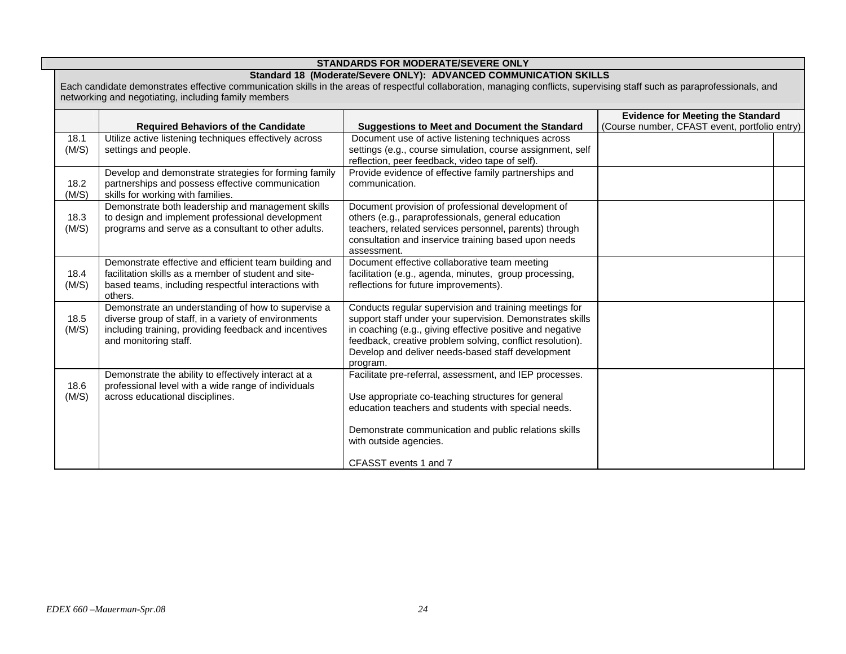| <b>STANDARDS FOR MODERATE/SEVERE ONLY</b> |                                                                                                                                                                                                                                                                                                        |                                                                                                                                                                                                                                                                                                                |                                                                                           |  |
|-------------------------------------------|--------------------------------------------------------------------------------------------------------------------------------------------------------------------------------------------------------------------------------------------------------------------------------------------------------|----------------------------------------------------------------------------------------------------------------------------------------------------------------------------------------------------------------------------------------------------------------------------------------------------------------|-------------------------------------------------------------------------------------------|--|
|                                           | Standard 18 (Moderate/Severe ONLY): ADVANCED COMMUNICATION SKILLS<br>Each candidate demonstrates effective communication skills in the areas of respectful collaboration, managing conflicts, supervising staff such as paraprofessionals, and<br>networking and negotiating, including family members |                                                                                                                                                                                                                                                                                                                |                                                                                           |  |
|                                           | <b>Required Behaviors of the Candidate</b>                                                                                                                                                                                                                                                             | <b>Suggestions to Meet and Document the Standard</b>                                                                                                                                                                                                                                                           | <b>Evidence for Meeting the Standard</b><br>(Course number, CFAST event, portfolio entry) |  |
| 18.1<br>(M/S)                             | Utilize active listening techniques effectively across<br>settings and people.                                                                                                                                                                                                                         | Document use of active listening techniques across<br>settings (e.g., course simulation, course assignment, self<br>reflection, peer feedback, video tape of self).                                                                                                                                            |                                                                                           |  |
| 18.2<br>(M/S)                             | Develop and demonstrate strategies for forming family<br>partnerships and possess effective communication<br>skills for working with families.                                                                                                                                                         | Provide evidence of effective family partnerships and<br>communication.                                                                                                                                                                                                                                        |                                                                                           |  |
| 18.3<br>(M/S)                             | Demonstrate both leadership and management skills<br>to design and implement professional development<br>programs and serve as a consultant to other adults.                                                                                                                                           | Document provision of professional development of<br>others (e.g., paraprofessionals, general education<br>teachers, related services personnel, parents) through<br>consultation and inservice training based upon needs<br>assessment.                                                                       |                                                                                           |  |
| 18.4<br>(M/S)                             | Demonstrate effective and efficient team building and<br>facilitation skills as a member of student and site-<br>based teams, including respectful interactions with<br>others.                                                                                                                        | Document effective collaborative team meeting<br>facilitation (e.g., agenda, minutes, group processing,<br>reflections for future improvements).                                                                                                                                                               |                                                                                           |  |
| 18.5<br>(M/S)                             | Demonstrate an understanding of how to supervise a<br>diverse group of staff, in a variety of environments<br>including training, providing feedback and incentives<br>and monitoring staff.                                                                                                           | Conducts regular supervision and training meetings for<br>support staff under your supervision. Demonstrates skills<br>in coaching (e.g., giving effective positive and negative<br>feedback, creative problem solving, conflict resolution).<br>Develop and deliver needs-based staff development<br>program. |                                                                                           |  |
| 18.6<br>(M/S)                             | Demonstrate the ability to effectively interact at a<br>professional level with a wide range of individuals<br>across educational disciplines.                                                                                                                                                         | Facilitate pre-referral, assessment, and IEP processes.<br>Use appropriate co-teaching structures for general<br>education teachers and students with special needs.<br>Demonstrate communication and public relations skills<br>with outside agencies.                                                        |                                                                                           |  |
|                                           |                                                                                                                                                                                                                                                                                                        | CFASST events 1 and 7                                                                                                                                                                                                                                                                                          |                                                                                           |  |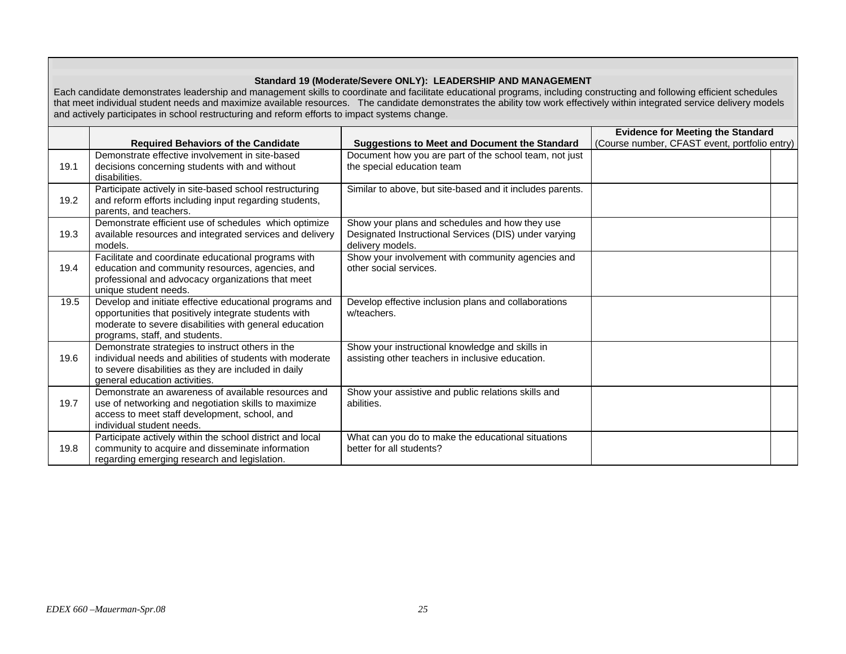## **Standard 19 (Moderate/Severe ONLY): LEADERSHIP AND MANAGEMENT**

Each candidate demonstrates leadership and management skills to coordinate and facilitate educational programs, including constructing and following efficient schedules that meet individual student needs and maximize available resources. The candidate demonstrates the ability tow work effectively within integrated service delivery models and actively participates in school restructuring and reform efforts to impact systems change.

|      |                                                                                                                                                                                                              |                                                                                                                             | <b>Evidence for Meeting the Standard</b>      |  |
|------|--------------------------------------------------------------------------------------------------------------------------------------------------------------------------------------------------------------|-----------------------------------------------------------------------------------------------------------------------------|-----------------------------------------------|--|
|      | <b>Required Behaviors of the Candidate</b>                                                                                                                                                                   | <b>Suggestions to Meet and Document the Standard</b>                                                                        | (Course number, CFAST event, portfolio entry) |  |
| 19.1 | Demonstrate effective involvement in site-based<br>decisions concerning students with and without<br>disabilities.                                                                                           | Document how you are part of the school team, not just<br>the special education team                                        |                                               |  |
| 19.2 | Participate actively in site-based school restructuring<br>and reform efforts including input regarding students,<br>parents, and teachers.                                                                  | Similar to above, but site-based and it includes parents.                                                                   |                                               |  |
| 19.3 | Demonstrate efficient use of schedules which optimize<br>available resources and integrated services and delivery<br>models.                                                                                 | Show your plans and schedules and how they use<br>Designated Instructional Services (DIS) under varying<br>delivery models. |                                               |  |
| 19.4 | Facilitate and coordinate educational programs with<br>education and community resources, agencies, and<br>professional and advocacy organizations that meet<br>unique student needs.                        | Show your involvement with community agencies and<br>other social services.                                                 |                                               |  |
| 19.5 | Develop and initiate effective educational programs and<br>opportunities that positively integrate students with<br>moderate to severe disabilities with general education<br>programs, staff, and students. | Develop effective inclusion plans and collaborations<br>w/teachers.                                                         |                                               |  |
| 19.6 | Demonstrate strategies to instruct others in the<br>individual needs and abilities of students with moderate<br>to severe disabilities as they are included in daily<br>general education activities.        | Show your instructional knowledge and skills in<br>assisting other teachers in inclusive education.                         |                                               |  |
| 19.7 | Demonstrate an awareness of available resources and<br>use of networking and negotiation skills to maximize<br>access to meet staff development, school, and<br>individual student needs.                    | Show your assistive and public relations skills and<br>abilities.                                                           |                                               |  |
| 19.8 | Participate actively within the school district and local<br>community to acquire and disseminate information<br>regarding emerging research and legislation.                                                | What can you do to make the educational situations<br>better for all students?                                              |                                               |  |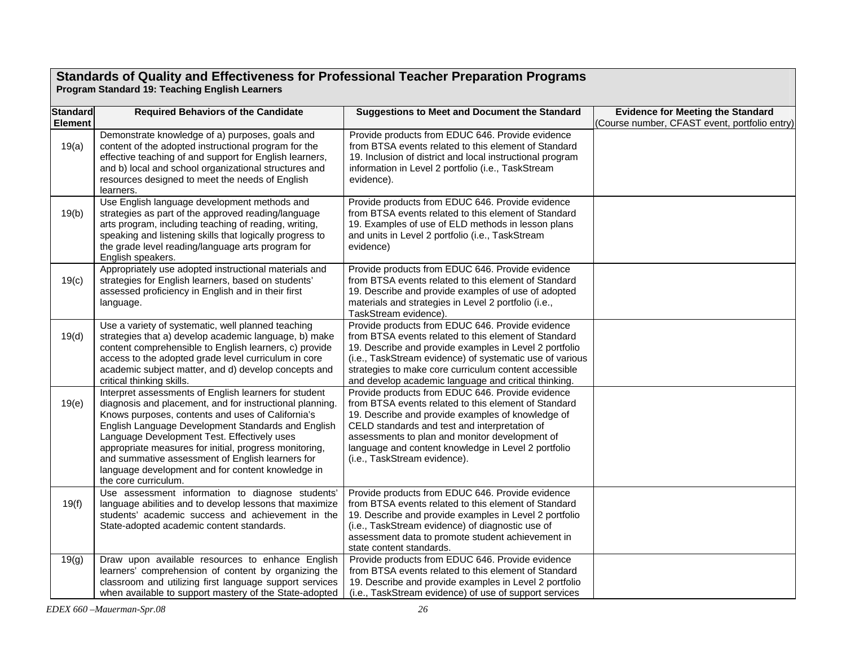### **Standards of Quality and Effectiveness for Professional Teacher Preparation Programs Program Standard 19: Teaching English Learners**

| <b>Standard</b> | <b>Required Behaviors of the Candidate</b>                                                                                                                                                                                                                                                                                                                                                                                                                             |                                                                                                                                                                                                                                                                                                                                                         | <b>Evidence for Meeting the Standard</b>      |
|-----------------|------------------------------------------------------------------------------------------------------------------------------------------------------------------------------------------------------------------------------------------------------------------------------------------------------------------------------------------------------------------------------------------------------------------------------------------------------------------------|---------------------------------------------------------------------------------------------------------------------------------------------------------------------------------------------------------------------------------------------------------------------------------------------------------------------------------------------------------|-----------------------------------------------|
| Element         |                                                                                                                                                                                                                                                                                                                                                                                                                                                                        | <b>Suggestions to Meet and Document the Standard</b>                                                                                                                                                                                                                                                                                                    | (Course number, CFAST event, portfolio entry) |
| 19(a)           | Demonstrate knowledge of a) purposes, goals and<br>content of the adopted instructional program for the<br>effective teaching of and support for English learners,<br>and b) local and school organizational structures and<br>resources designed to meet the needs of English<br>learners.                                                                                                                                                                            | Provide products from EDUC 646. Provide evidence<br>from BTSA events related to this element of Standard<br>19. Inclusion of district and local instructional program<br>information in Level 2 portfolio (i.e., TaskStream<br>evidence).                                                                                                               |                                               |
| 19(b)           | Use English language development methods and<br>strategies as part of the approved reading/language<br>arts program, including teaching of reading, writing,<br>speaking and listening skills that logically progress to<br>the grade level reading/language arts program for<br>English speakers.                                                                                                                                                                     | Provide products from EDUC 646. Provide evidence<br>from BTSA events related to this element of Standard<br>19. Examples of use of ELD methods in lesson plans<br>and units in Level 2 portfolio (i.e., TaskStream<br>evidence)                                                                                                                         |                                               |
| 19(c)           | Appropriately use adopted instructional materials and<br>strategies for English learners, based on students'<br>assessed proficiency in English and in their first<br>language.                                                                                                                                                                                                                                                                                        | Provide products from EDUC 646. Provide evidence<br>from BTSA events related to this element of Standard<br>19. Describe and provide examples of use of adopted<br>materials and strategies in Level 2 portfolio (i.e.,<br>TaskStream evidence).                                                                                                        |                                               |
| 19(d)           | Use a variety of systematic, well planned teaching<br>strategies that a) develop academic language, b) make<br>content comprehensible to English learners, c) provide<br>access to the adopted grade level curriculum in core<br>academic subject matter, and d) develop concepts and<br>critical thinking skills.                                                                                                                                                     | Provide products from EDUC 646. Provide evidence<br>from BTSA events related to this element of Standard<br>19. Describe and provide examples in Level 2 portfolio<br>(i.e., TaskStream evidence) of systematic use of various<br>strategies to make core curriculum content accessible<br>and develop academic language and critical thinking.         |                                               |
| 19(e)           | Interpret assessments of English learners for student<br>diagnosis and placement, and for instructional planning.<br>Knows purposes, contents and uses of California's<br>English Language Development Standards and English<br>Language Development Test. Effectively uses<br>appropriate measures for initial, progress monitoring,<br>and summative assessment of English learners for<br>language development and for content knowledge in<br>the core curriculum. | Provide products from EDUC 646. Provide evidence<br>from BTSA events related to this element of Standard<br>19. Describe and provide examples of knowledge of<br>CELD standards and test and interpretation of<br>assessments to plan and monitor development of<br>language and content knowledge in Level 2 portfolio<br>(i.e., TaskStream evidence). |                                               |
| 19(f)           | Use assessment information to diagnose students'<br>language abilities and to develop lessons that maximize<br>students' academic success and achievement in the<br>State-adopted academic content standards.                                                                                                                                                                                                                                                          | Provide products from EDUC 646. Provide evidence<br>from BTSA events related to this element of Standard<br>19. Describe and provide examples in Level 2 portfolio<br>(i.e., TaskStream evidence) of diagnostic use of<br>assessment data to promote student achievement in<br>state content standards.                                                 |                                               |
| 19(g)           | Draw upon available resources to enhance English<br>learners' comprehension of content by organizing the<br>classroom and utilizing first language support services<br>when available to support mastery of the State-adopted                                                                                                                                                                                                                                          | Provide products from EDUC 646. Provide evidence<br>from BTSA events related to this element of Standard<br>19. Describe and provide examples in Level 2 portfolio<br>(i.e., TaskStream evidence) of use of support services                                                                                                                            |                                               |